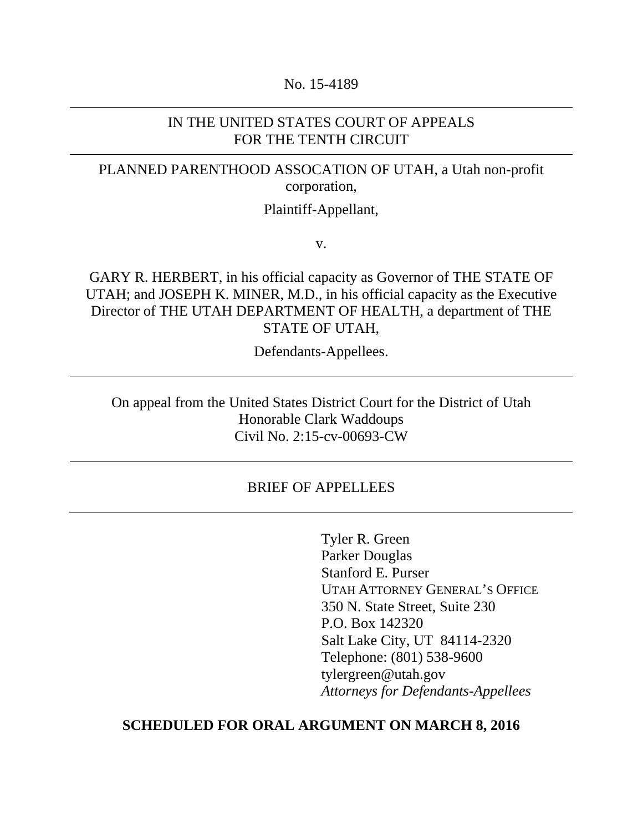#### No. 15-4189

### IN THE UNITED STATES COURT OF APPEALS FOR THE TENTH CIRCUIT

# PLANNED PARENTHOOD ASSOCATION OF UTAH, a Utah non-profit corporation,

### Plaintiff-Appellant,

v.

GARY R. HERBERT, in his official capacity as Governor of THE STATE OF UTAH; and JOSEPH K. MINER, M.D., in his official capacity as the Executive Director of THE UTAH DEPARTMENT OF HEALTH, a department of THE STATE OF UTAH,

Defendants-Appellees.

On appeal from the United States District Court for the District of Utah Honorable Clark Waddoups Civil No. 2:15-cv-00693-CW

## BRIEF OF APPELLEES

Tyler R. Green Parker Douglas Stanford E. Purser UTAH ATTORNEY GENERAL'S OFFICE 350 N. State Street, Suite 230 P.O. Box 142320 Salt Lake City, UT 84114-2320 Telephone: (801) 538-9600 tylergreen@utah.gov *Attorneys for Defendants-Appellees*

### **SCHEDULED FOR ORAL ARGUMENT ON MARCH 8, 2016**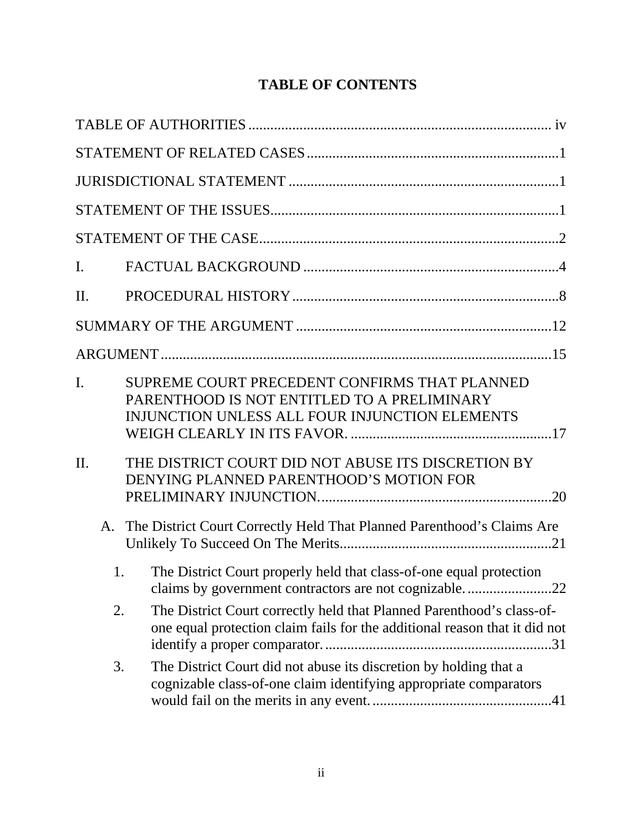# **TABLE OF CONTENTS**

| I.  |                                                                                                                                                     |  |  |  |  |
|-----|-----------------------------------------------------------------------------------------------------------------------------------------------------|--|--|--|--|
| II. |                                                                                                                                                     |  |  |  |  |
|     |                                                                                                                                                     |  |  |  |  |
|     |                                                                                                                                                     |  |  |  |  |
| I.  | SUPREME COURT PRECEDENT CONFIRMS THAT PLANNED<br>PARENTHOOD IS NOT ENTITLED TO A PRELIMINARY<br>INJUNCTION UNLESS ALL FOUR INJUNCTION ELEMENTS      |  |  |  |  |
| II. | THE DISTRICT COURT DID NOT ABUSE ITS DISCRETION BY<br>DENYING PLANNED PARENTHOOD'S MOTION FOR                                                       |  |  |  |  |
| A.  | The District Court Correctly Held That Planned Parenthood's Claims Are                                                                              |  |  |  |  |
| 1.  | The District Court properly held that class-of-one equal protection<br>claims by government contractors are not cognizable22                        |  |  |  |  |
| 2.  | The District Court correctly held that Planned Parenthood's class-of-<br>one equal protection claim fails for the additional reason that it did not |  |  |  |  |
| 3.  | The District Court did not abuse its discretion by holding that a<br>cognizable class-of-one claim identifying appropriate comparators              |  |  |  |  |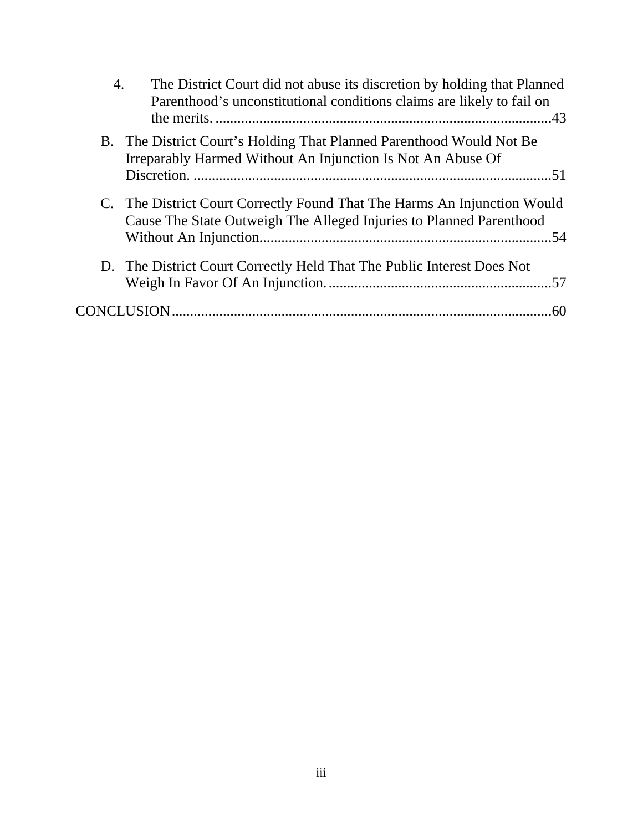| 4. | The District Court did not abuse its discretion by holding that Planned<br>Parenthood's unconstitutional conditions claims are likely to fail on |
|----|--------------------------------------------------------------------------------------------------------------------------------------------------|
|    | B. The District Court's Holding That Planned Parenthood Would Not Be.<br>Irreparably Harmed Without An Injunction Is Not An Abuse Of             |
|    |                                                                                                                                                  |
|    | C. The District Court Correctly Found That The Harms An Injunction Would<br>Cause The State Outweigh The Alleged Injuries to Planned Parenthood  |
|    | D. The District Court Correctly Held That The Public Interest Does Not                                                                           |
|    |                                                                                                                                                  |
|    |                                                                                                                                                  |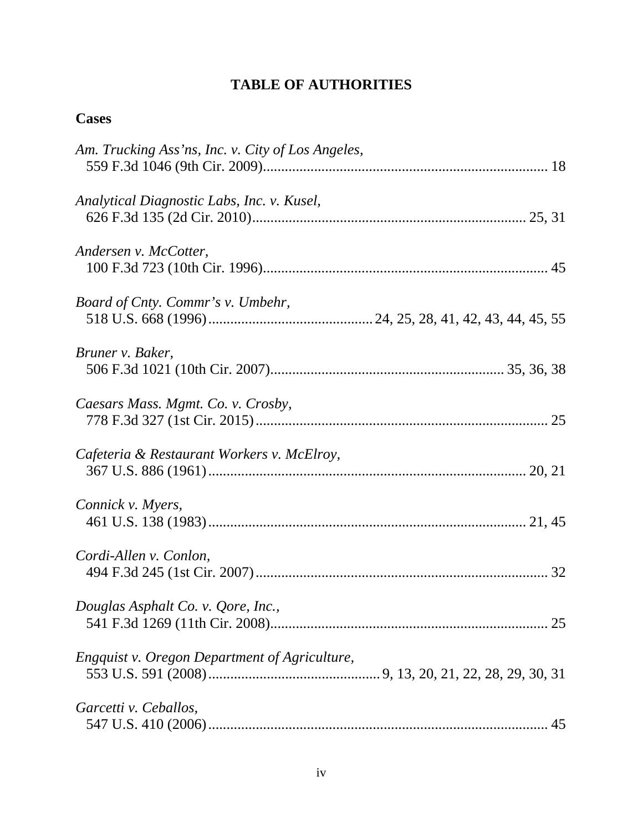# **TABLE OF AUTHORITIES**

# **Cases**

| Am. Trucking Ass'ns, Inc. v. City of Los Angeles, |
|---------------------------------------------------|
| Analytical Diagnostic Labs, Inc. v. Kusel,        |
| Andersen v. McCotter,                             |
| Board of Cnty. Commr's v. Umbehr,                 |
| Bruner v. Baker,                                  |
| Caesars Mass. Mgmt. Co. v. Crosby,                |
| Cafeteria & Restaurant Workers v. McElroy,        |
| Connick v. Myers,                                 |
| Cordi-Allen v. Conlon,                            |
| Douglas Asphalt Co. v. Qore, Inc.,                |
| Engquist v. Oregon Department of Agriculture,     |
| Garcetti v. Ceballos,                             |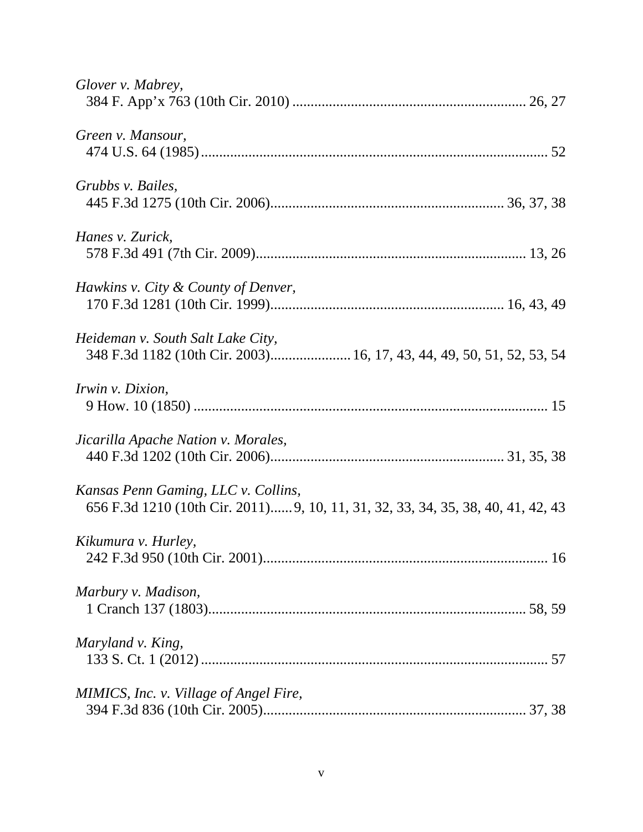| Glover v. Mabrey,                                                                                                       |
|-------------------------------------------------------------------------------------------------------------------------|
| Green v. Mansour,                                                                                                       |
| Grubbs v. Bailes,                                                                                                       |
| Hanes v. Zurick,                                                                                                        |
| Hawkins v. City & County of Denver,                                                                                     |
| Heideman v. South Salt Lake City,<br>348 F.3d 1182 (10th Cir. 2003) 16, 17, 43, 44, 49, 50, 51, 52, 53, 54              |
| Irwin v. Dixion,                                                                                                        |
| Jicarilla Apache Nation v. Morales,                                                                                     |
| Kansas Penn Gaming, LLC v. Collins,<br>656 F.3d 1210 (10th Cir. 2011) 9, 10, 11, 31, 32, 33, 34, 35, 38, 40, 41, 42, 43 |
| Kikumura v. Hurley,                                                                                                     |
| Marbury v. Madison,                                                                                                     |
| Maryland v. King,                                                                                                       |
| MIMICS, Inc. v. Village of Angel Fire,                                                                                  |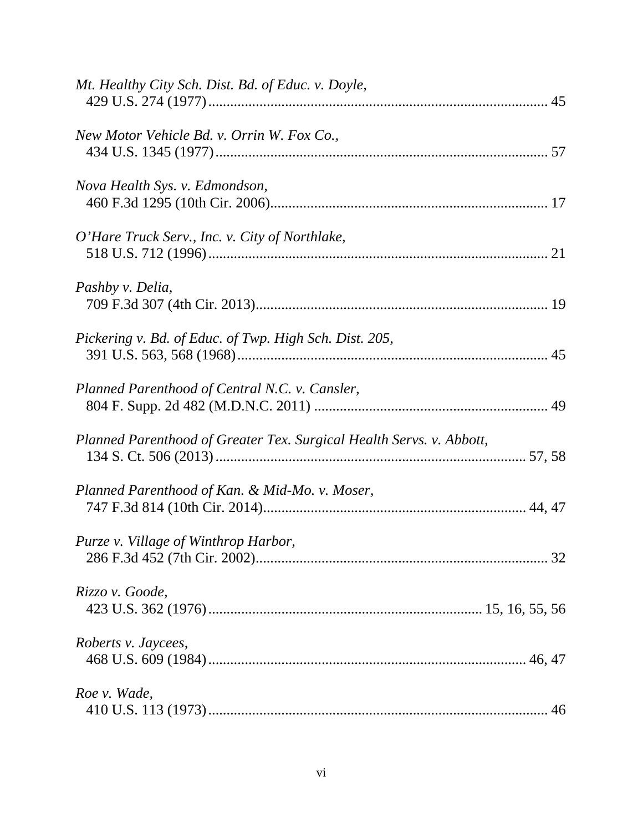| Mt. Healthy City Sch. Dist. Bd. of Educ. v. Doyle,                   |  |
|----------------------------------------------------------------------|--|
| New Motor Vehicle Bd. v. Orrin W. Fox Co.,                           |  |
| Nova Health Sys. v. Edmondson,                                       |  |
| O'Hare Truck Serv., Inc. v. City of Northlake,                       |  |
| Pashby v. Delia,                                                     |  |
| Pickering v. Bd. of Educ. of Twp. High Sch. Dist. 205,               |  |
| Planned Parenthood of Central N.C. v. Cansler,                       |  |
| Planned Parenthood of Greater Tex. Surgical Health Servs. v. Abbott, |  |
| Planned Parenthood of Kan. & Mid-Mo. v. Moser,                       |  |
| Purze v. Village of Winthrop Harbor,                                 |  |
| Rizzo v. Goode,                                                      |  |
| Roberts v. Jaycees,                                                  |  |
| Roe v. Wade,                                                         |  |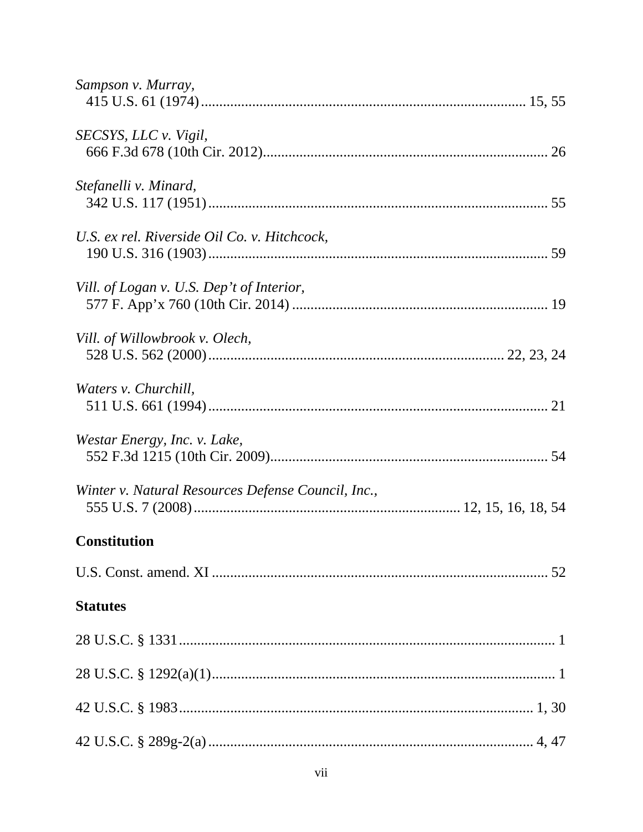| Sampson v. Murray,                                 |
|----------------------------------------------------|
| SECSYS, LLC v. Vigil,                              |
| Stefanelli v. Minard,                              |
| U.S. ex rel. Riverside Oil Co. v. Hitchcock,       |
| Vill. of Logan v. U.S. Dep't of Interior,          |
| Vill. of Willowbrook v. Olech,                     |
| Waters v. Churchill,                               |
| Westar Energy, Inc. v. Lake,                       |
| Winter v. Natural Resources Defense Council, Inc., |
| <b>Constitution</b>                                |
|                                                    |
| <b>Statutes</b>                                    |
|                                                    |
|                                                    |
|                                                    |
|                                                    |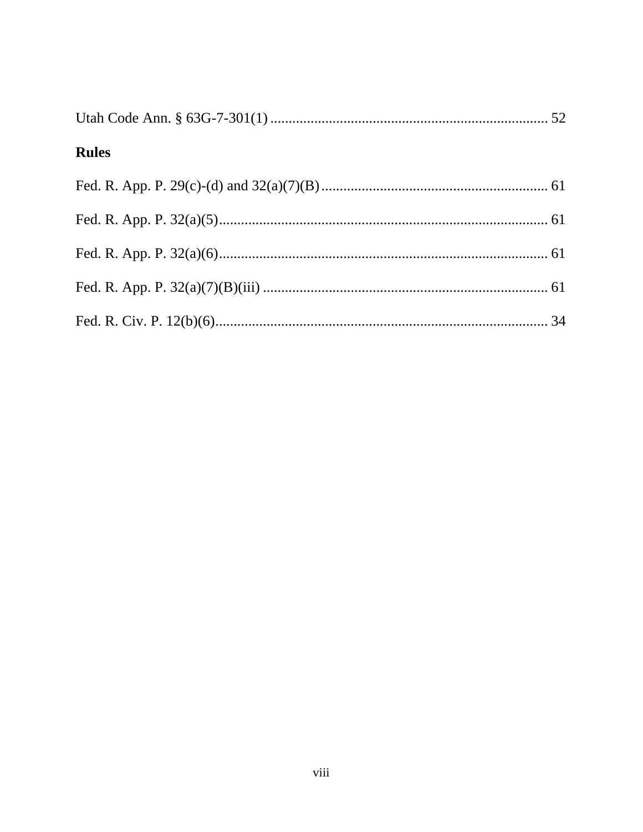| <b>Rules</b> |  |
|--------------|--|
|              |  |
|              |  |
|              |  |
|              |  |
|              |  |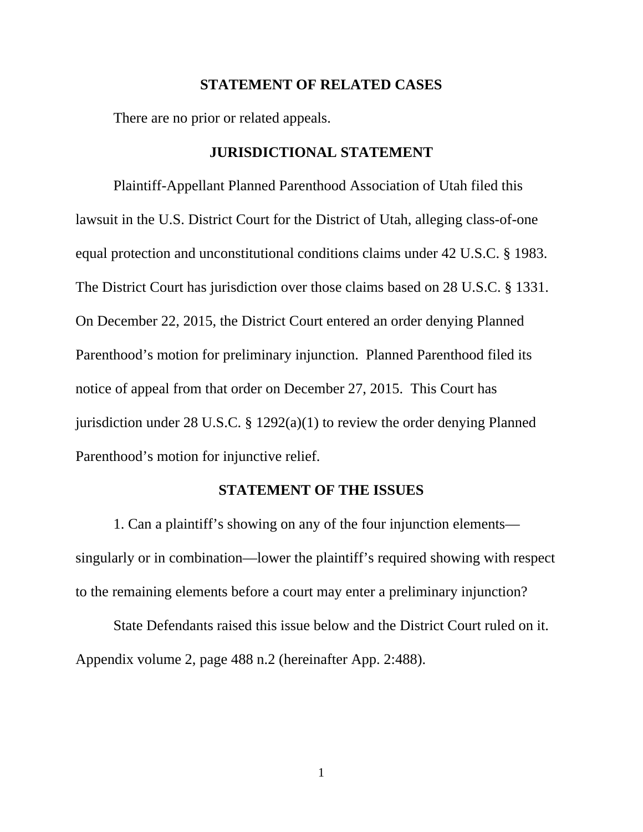#### **STATEMENT OF RELATED CASES**

There are no prior or related appeals.

### **JURISDICTIONAL STATEMENT**

Plaintiff-Appellant Planned Parenthood Association of Utah filed this lawsuit in the U.S. District Court for the District of Utah, alleging class-of-one equal protection and unconstitutional conditions claims under 42 U.S.C. § 1983. The District Court has jurisdiction over those claims based on 28 U.S.C. § 1331. On December 22, 2015, the District Court entered an order denying Planned Parenthood's motion for preliminary injunction. Planned Parenthood filed its notice of appeal from that order on December 27, 2015. This Court has jurisdiction under 28 U.S.C. § 1292(a)(1) to review the order denying Planned Parenthood's motion for injunctive relief.

### **STATEMENT OF THE ISSUES**

1. Can a plaintiff's showing on any of the four injunction elements singularly or in combination—lower the plaintiff's required showing with respect to the remaining elements before a court may enter a preliminary injunction?

State Defendants raised this issue below and the District Court ruled on it. Appendix volume 2, page 488 n.2 (hereinafter App. 2:488).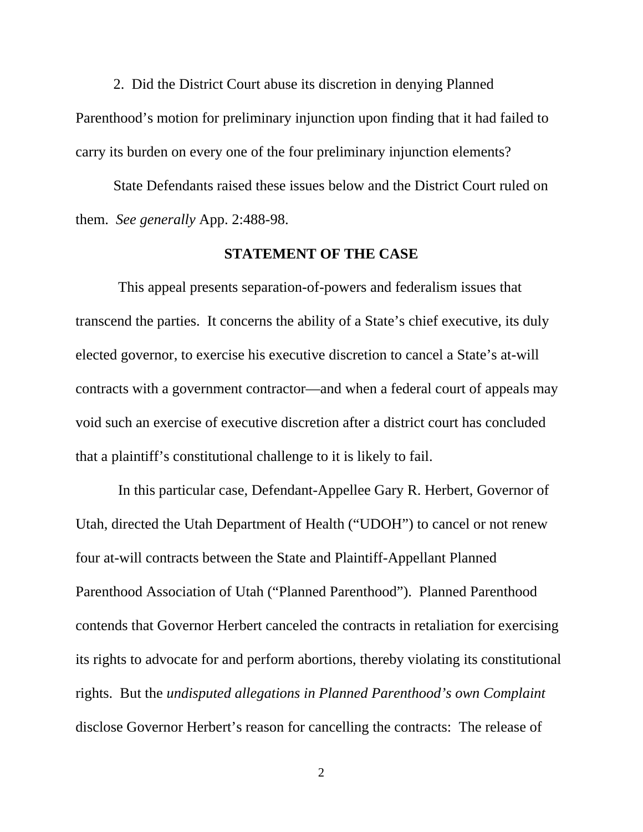2. Did the District Court abuse its discretion in denying Planned Parenthood's motion for preliminary injunction upon finding that it had failed to carry its burden on every one of the four preliminary injunction elements?

State Defendants raised these issues below and the District Court ruled on them. *See generally* App. 2:488-98.

#### **STATEMENT OF THE CASE**

This appeal presents separation-of-powers and federalism issues that transcend the parties. It concerns the ability of a State's chief executive, its duly elected governor, to exercise his executive discretion to cancel a State's at-will contracts with a government contractor—and when a federal court of appeals may void such an exercise of executive discretion after a district court has concluded that a plaintiff's constitutional challenge to it is likely to fail.

In this particular case, Defendant-Appellee Gary R. Herbert, Governor of Utah, directed the Utah Department of Health ("UDOH") to cancel or not renew four at-will contracts between the State and Plaintiff-Appellant Planned Parenthood Association of Utah ("Planned Parenthood"). Planned Parenthood contends that Governor Herbert canceled the contracts in retaliation for exercising its rights to advocate for and perform abortions, thereby violating its constitutional rights. But the *undisputed allegations in Planned Parenthood's own Complaint*  disclose Governor Herbert's reason for cancelling the contracts: The release of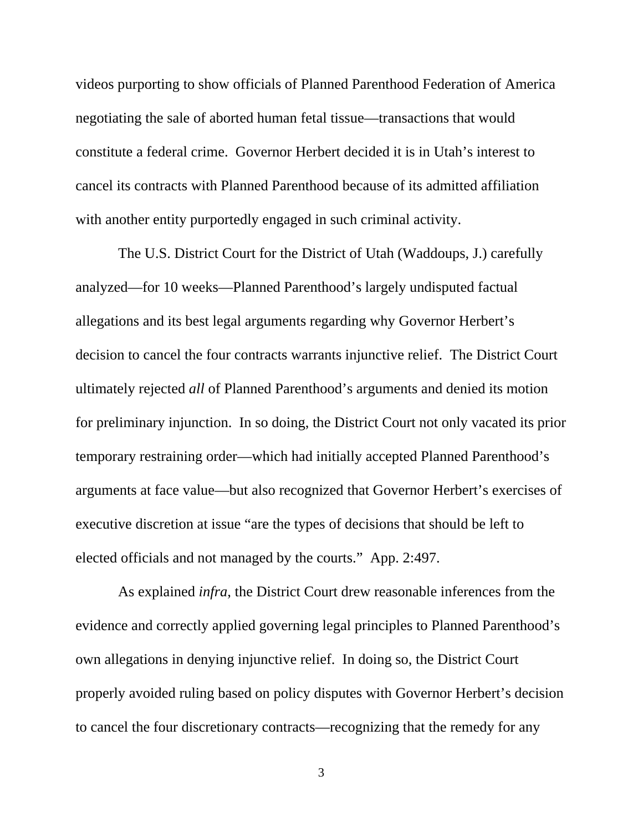videos purporting to show officials of Planned Parenthood Federation of America negotiating the sale of aborted human fetal tissue—transactions that would constitute a federal crime. Governor Herbert decided it is in Utah's interest to cancel its contracts with Planned Parenthood because of its admitted affiliation with another entity purportedly engaged in such criminal activity.

The U.S. District Court for the District of Utah (Waddoups, J.) carefully analyzed—for 10 weeks—Planned Parenthood's largely undisputed factual allegations and its best legal arguments regarding why Governor Herbert's decision to cancel the four contracts warrants injunctive relief. The District Court ultimately rejected *all* of Planned Parenthood's arguments and denied its motion for preliminary injunction. In so doing, the District Court not only vacated its prior temporary restraining order—which had initially accepted Planned Parenthood's arguments at face value—but also recognized that Governor Herbert's exercises of executive discretion at issue "are the types of decisions that should be left to elected officials and not managed by the courts." App. 2:497.

As explained *infra*, the District Court drew reasonable inferences from the evidence and correctly applied governing legal principles to Planned Parenthood's own allegations in denying injunctive relief. In doing so, the District Court properly avoided ruling based on policy disputes with Governor Herbert's decision to cancel the four discretionary contracts—recognizing that the remedy for any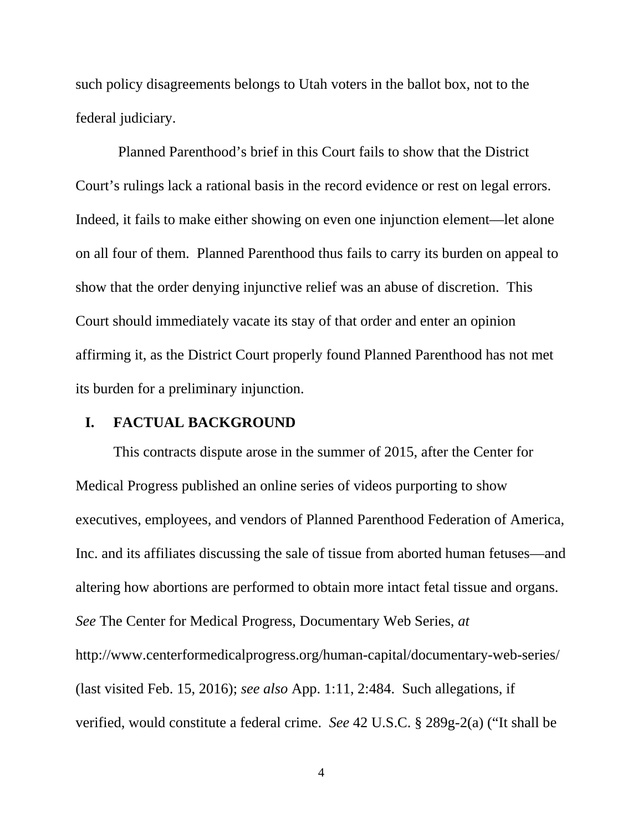such policy disagreements belongs to Utah voters in the ballot box, not to the federal judiciary.

Planned Parenthood's brief in this Court fails to show that the District Court's rulings lack a rational basis in the record evidence or rest on legal errors. Indeed, it fails to make either showing on even one injunction element—let alone on all four of them. Planned Parenthood thus fails to carry its burden on appeal to show that the order denying injunctive relief was an abuse of discretion. This Court should immediately vacate its stay of that order and enter an opinion affirming it, as the District Court properly found Planned Parenthood has not met its burden for a preliminary injunction.

### **I. FACTUAL BACKGROUND**

This contracts dispute arose in the summer of 2015, after the Center for Medical Progress published an online series of videos purporting to show executives, employees, and vendors of Planned Parenthood Federation of America, Inc. and its affiliates discussing the sale of tissue from aborted human fetuses—and altering how abortions are performed to obtain more intact fetal tissue and organs. *See* The Center for Medical Progress, Documentary Web Series, *at*  http://www.centerformedicalprogress.org/human-capital/documentary-web-series/ (last visited Feb. 15, 2016); *see also* App. 1:11, 2:484. Such allegations, if verified, would constitute a federal crime. *See* 42 U.S.C. § 289g-2(a) ("It shall be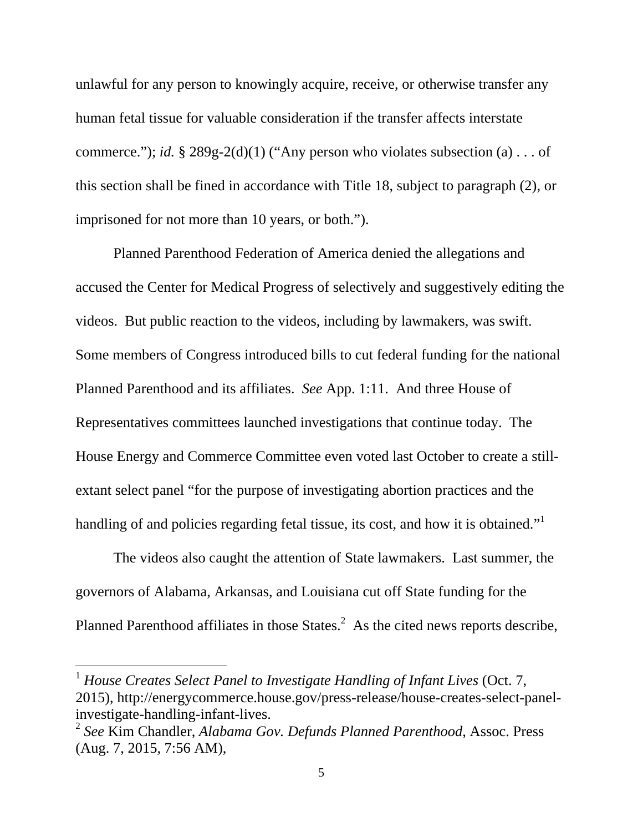unlawful for any person to knowingly acquire, receive, or otherwise transfer any human fetal tissue for valuable consideration if the transfer affects interstate commerce."); *id.* § 289g-2(d)(1) ("Any person who violates subsection (a) . . . of this section shall be fined in accordance with Title 18, subject to paragraph (2), or imprisoned for not more than 10 years, or both.").

Planned Parenthood Federation of America denied the allegations and accused the Center for Medical Progress of selectively and suggestively editing the videos. But public reaction to the videos, including by lawmakers, was swift. Some members of Congress introduced bills to cut federal funding for the national Planned Parenthood and its affiliates. *See* App. 1:11. And three House of Representatives committees launched investigations that continue today. The House Energy and Commerce Committee even voted last October to create a stillextant select panel "for the purpose of investigating abortion practices and the handling of and policies regarding fetal tissue, its cost, and how it is obtained."<sup>1</sup>

The videos also caught the attention of State lawmakers. Last summer, the governors of Alabama, Arkansas, and Louisiana cut off State funding for the Planned Parenthood affiliates in those States. $<sup>2</sup>$  As the cited news reports describe,</sup>

 $\overline{a}$ 

<sup>1</sup> *House Creates Select Panel to Investigate Handling of Infant Lives* (Oct. 7, 2015), http://energycommerce.house.gov/press-release/house-creates-select-panelinvestigate-handling-infant-lives.

<sup>2</sup> *See* Kim Chandler, *Alabama Gov. Defunds Planned Parenthood*, Assoc. Press (Aug. 7, 2015, 7:56 AM),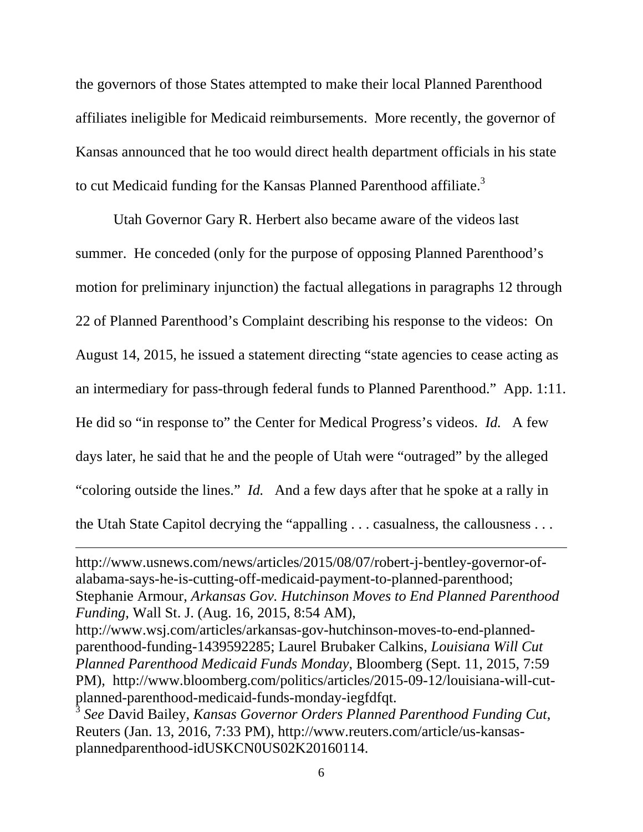the governors of those States attempted to make their local Planned Parenthood affiliates ineligible for Medicaid reimbursements. More recently, the governor of Kansas announced that he too would direct health department officials in his state to cut Medicaid funding for the Kansas Planned Parenthood affiliate. $3$ 

Utah Governor Gary R. Herbert also became aware of the videos last summer. He conceded (only for the purpose of opposing Planned Parenthood's motion for preliminary injunction) the factual allegations in paragraphs 12 through 22 of Planned Parenthood's Complaint describing his response to the videos: On August 14, 2015, he issued a statement directing "state agencies to cease acting as an intermediary for pass-through federal funds to Planned Parenthood." App. 1:11. He did so "in response to" the Center for Medical Progress's videos. *Id.* A few days later, he said that he and the people of Utah were "outraged" by the alleged "coloring outside the lines." *Id.* And a few days after that he spoke at a rally in the Utah State Capitol decrying the "appalling . . . casualness, the callousness . . .

http://www.usnews.com/news/articles/2015/08/07/robert-j-bentley-governor-ofalabama-says-he-is-cutting-off-medicaid-payment-to-planned-parenthood; Stephanie Armour, *Arkansas Gov. Hutchinson Moves to End Planned Parenthood Funding*, Wall St. J. (Aug. 16, 2015, 8:54 AM),

 $\overline{a}$ 

http://www.wsj.com/articles/arkansas-gov-hutchinson-moves-to-end-plannedparenthood-funding-1439592285; Laurel Brubaker Calkins, *Louisiana Will Cut Planned Parenthood Medicaid Funds Monday*, Bloomberg (Sept. 11, 2015, 7:59 PM), http://www.bloomberg.com/politics/articles/2015-09-12/louisiana-will-cutplanned-parenthood-medicaid-funds-monday-iegfdfqt.

<sup>3</sup> *See* David Bailey, *Kansas Governor Orders Planned Parenthood Funding Cut*, Reuters (Jan. 13, 2016, 7:33 PM), http://www.reuters.com/article/us-kansasplannedparenthood-idUSKCN0US02K20160114.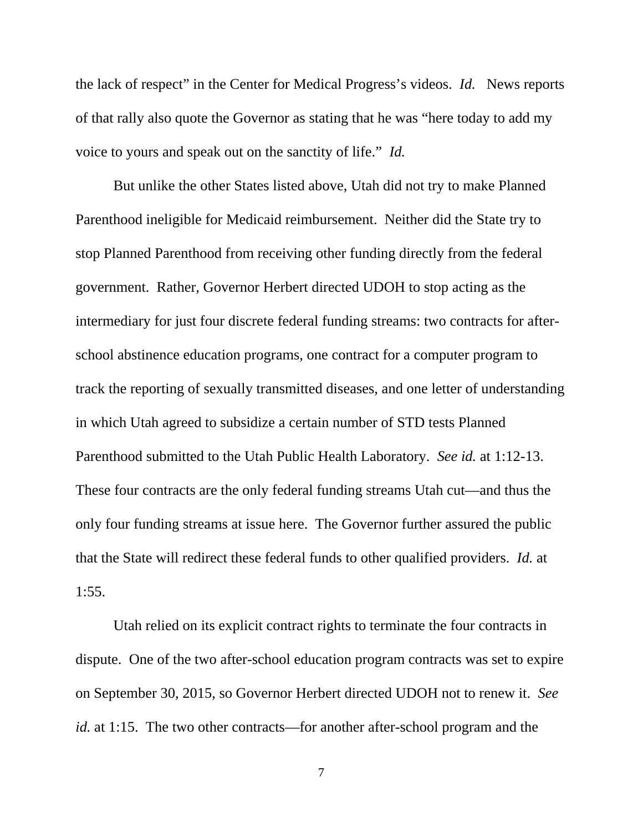the lack of respect" in the Center for Medical Progress's videos. *Id.* News reports of that rally also quote the Governor as stating that he was "here today to add my voice to yours and speak out on the sanctity of life." *Id.*

But unlike the other States listed above, Utah did not try to make Planned Parenthood ineligible for Medicaid reimbursement. Neither did the State try to stop Planned Parenthood from receiving other funding directly from the federal government. Rather, Governor Herbert directed UDOH to stop acting as the intermediary for just four discrete federal funding streams: two contracts for afterschool abstinence education programs, one contract for a computer program to track the reporting of sexually transmitted diseases, and one letter of understanding in which Utah agreed to subsidize a certain number of STD tests Planned Parenthood submitted to the Utah Public Health Laboratory. *See id.* at 1:12-13. These four contracts are the only federal funding streams Utah cut—and thus the only four funding streams at issue here. The Governor further assured the public that the State will redirect these federal funds to other qualified providers. *Id.* at 1:55.

Utah relied on its explicit contract rights to terminate the four contracts in dispute. One of the two after-school education program contracts was set to expire on September 30, 2015, so Governor Herbert directed UDOH not to renew it. *See id.* at 1:15. The two other contracts—for another after-school program and the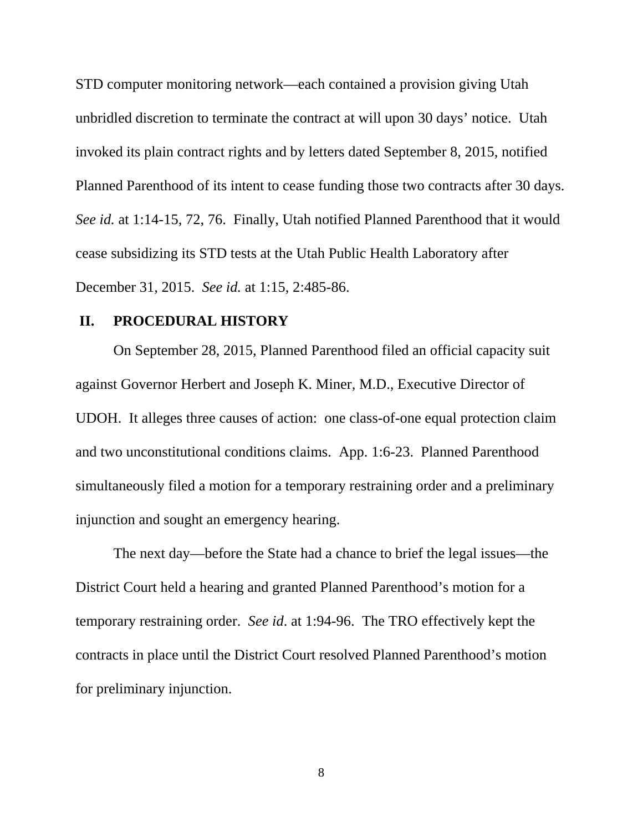STD computer monitoring network—each contained a provision giving Utah unbridled discretion to terminate the contract at will upon 30 days' notice. Utah invoked its plain contract rights and by letters dated September 8, 2015, notified Planned Parenthood of its intent to cease funding those two contracts after 30 days. *See id.* at 1:14-15, 72, 76. Finally, Utah notified Planned Parenthood that it would cease subsidizing its STD tests at the Utah Public Health Laboratory after December 31, 2015. *See id.* at 1:15, 2:485-86.

### **II. PROCEDURAL HISTORY**

On September 28, 2015, Planned Parenthood filed an official capacity suit against Governor Herbert and Joseph K. Miner, M.D., Executive Director of UDOH. It alleges three causes of action: one class-of-one equal protection claim and two unconstitutional conditions claims. App. 1:6-23. Planned Parenthood simultaneously filed a motion for a temporary restraining order and a preliminary injunction and sought an emergency hearing.

The next day—before the State had a chance to brief the legal issues—the District Court held a hearing and granted Planned Parenthood's motion for a temporary restraining order. *See id*. at 1:94-96. The TRO effectively kept the contracts in place until the District Court resolved Planned Parenthood's motion for preliminary injunction.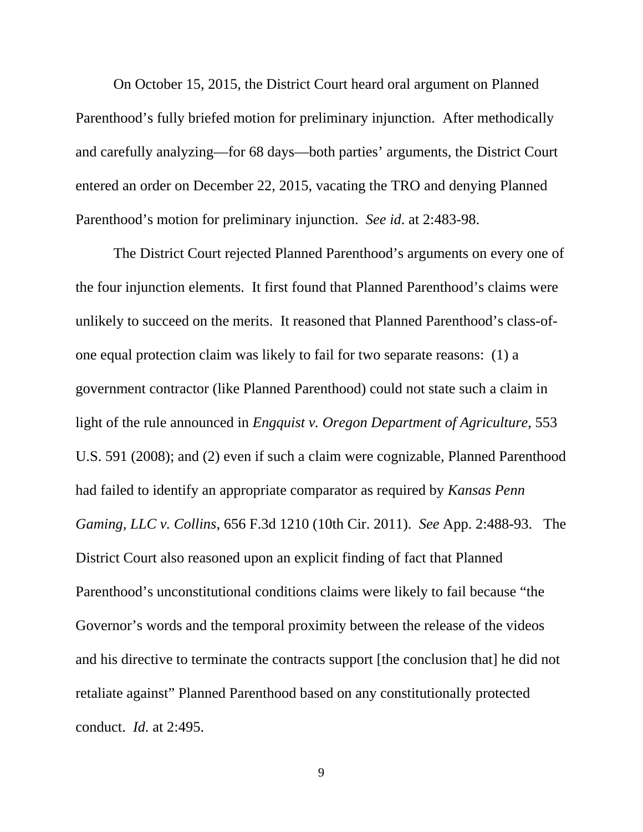On October 15, 2015, the District Court heard oral argument on Planned Parenthood's fully briefed motion for preliminary injunction. After methodically and carefully analyzing—for 68 days—both parties' arguments, the District Court entered an order on December 22, 2015, vacating the TRO and denying Planned Parenthood's motion for preliminary injunction. *See id*. at 2:483-98.

The District Court rejected Planned Parenthood's arguments on every one of the four injunction elements. It first found that Planned Parenthood's claims were unlikely to succeed on the merits. It reasoned that Planned Parenthood's class-ofone equal protection claim was likely to fail for two separate reasons: (1) a government contractor (like Planned Parenthood) could not state such a claim in light of the rule announced in *Engquist v. Oregon Department of Agriculture*, 553 U.S. 591 (2008); and (2) even if such a claim were cognizable, Planned Parenthood had failed to identify an appropriate comparator as required by *Kansas Penn Gaming, LLC v. Collins*, 656 F.3d 1210 (10th Cir. 2011). *See* App. 2:488-93. The District Court also reasoned upon an explicit finding of fact that Planned Parenthood's unconstitutional conditions claims were likely to fail because "the Governor's words and the temporal proximity between the release of the videos and his directive to terminate the contracts support [the conclusion that] he did not retaliate against" Planned Parenthood based on any constitutionally protected conduct. *Id.* at 2:495.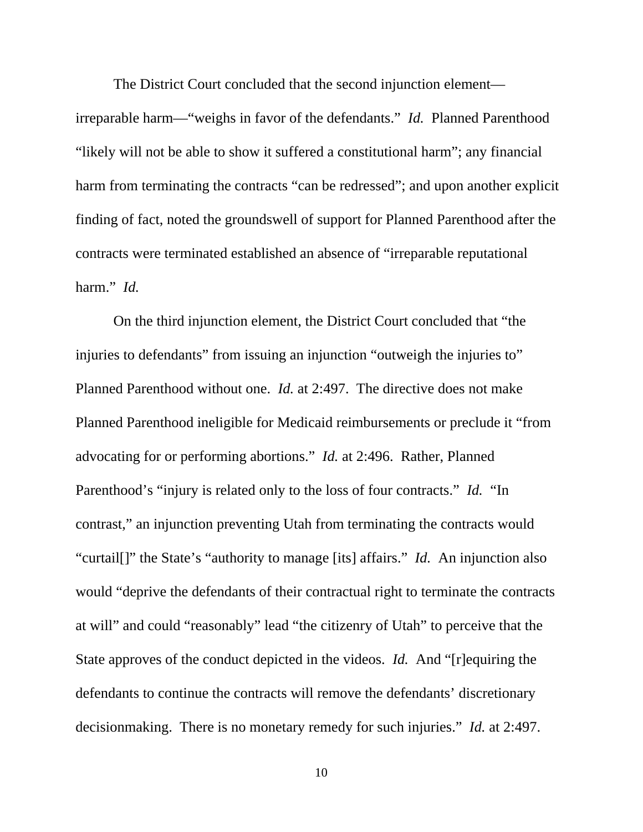The District Court concluded that the second injunction element—

irreparable harm—"weighs in favor of the defendants." *Id.* Planned Parenthood "likely will not be able to show it suffered a constitutional harm"; any financial harm from terminating the contracts "can be redressed"; and upon another explicit finding of fact, noted the groundswell of support for Planned Parenthood after the contracts were terminated established an absence of "irreparable reputational harm." *Id.*

On the third injunction element, the District Court concluded that "the injuries to defendants" from issuing an injunction "outweigh the injuries to" Planned Parenthood without one. *Id.* at 2:497. The directive does not make Planned Parenthood ineligible for Medicaid reimbursements or preclude it "from advocating for or performing abortions." *Id.* at 2:496. Rather, Planned Parenthood's "injury is related only to the loss of four contracts." *Id.* "In contrast," an injunction preventing Utah from terminating the contracts would "curtail[]" the State's "authority to manage [its] affairs." *Id.* An injunction also would "deprive the defendants of their contractual right to terminate the contracts at will" and could "reasonably" lead "the citizenry of Utah" to perceive that the State approves of the conduct depicted in the videos. *Id.* And "[r]equiring the defendants to continue the contracts will remove the defendants' discretionary decisionmaking. There is no monetary remedy for such injuries." *Id.* at 2:497.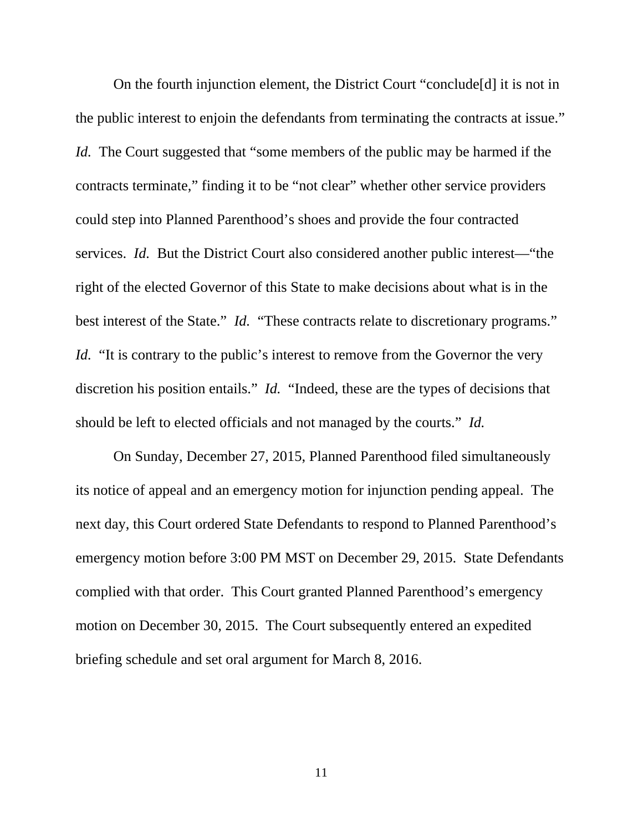On the fourth injunction element, the District Court "conclude[d] it is not in the public interest to enjoin the defendants from terminating the contracts at issue." *Id.* The Court suggested that "some members of the public may be harmed if the contracts terminate," finding it to be "not clear" whether other service providers could step into Planned Parenthood's shoes and provide the four contracted services. *Id.* But the District Court also considered another public interest—"the right of the elected Governor of this State to make decisions about what is in the best interest of the State." *Id.* "These contracts relate to discretionary programs." *Id.* "It is contrary to the public's interest to remove from the Governor the very discretion his position entails." *Id.* "Indeed, these are the types of decisions that should be left to elected officials and not managed by the courts." *Id.*

On Sunday, December 27, 2015, Planned Parenthood filed simultaneously its notice of appeal and an emergency motion for injunction pending appeal. The next day, this Court ordered State Defendants to respond to Planned Parenthood's emergency motion before 3:00 PM MST on December 29, 2015. State Defendants complied with that order. This Court granted Planned Parenthood's emergency motion on December 30, 2015. The Court subsequently entered an expedited briefing schedule and set oral argument for March 8, 2016.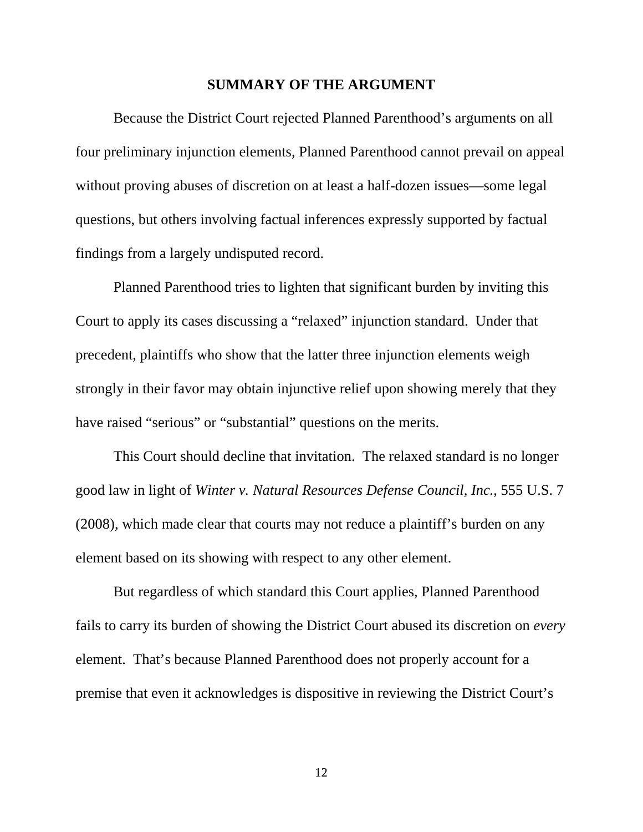#### **SUMMARY OF THE ARGUMENT**

 Because the District Court rejected Planned Parenthood's arguments on all four preliminary injunction elements, Planned Parenthood cannot prevail on appeal without proving abuses of discretion on at least a half-dozen issues—some legal questions, but others involving factual inferences expressly supported by factual findings from a largely undisputed record.

Planned Parenthood tries to lighten that significant burden by inviting this Court to apply its cases discussing a "relaxed" injunction standard. Under that precedent, plaintiffs who show that the latter three injunction elements weigh strongly in their favor may obtain injunctive relief upon showing merely that they have raised "serious" or "substantial" questions on the merits.

This Court should decline that invitation. The relaxed standard is no longer good law in light of *Winter v. Natural Resources Defense Council, Inc.*, 555 U.S. 7 (2008), which made clear that courts may not reduce a plaintiff's burden on any element based on its showing with respect to any other element.

But regardless of which standard this Court applies, Planned Parenthood fails to carry its burden of showing the District Court abused its discretion on *every* element. That's because Planned Parenthood does not properly account for a premise that even it acknowledges is dispositive in reviewing the District Court's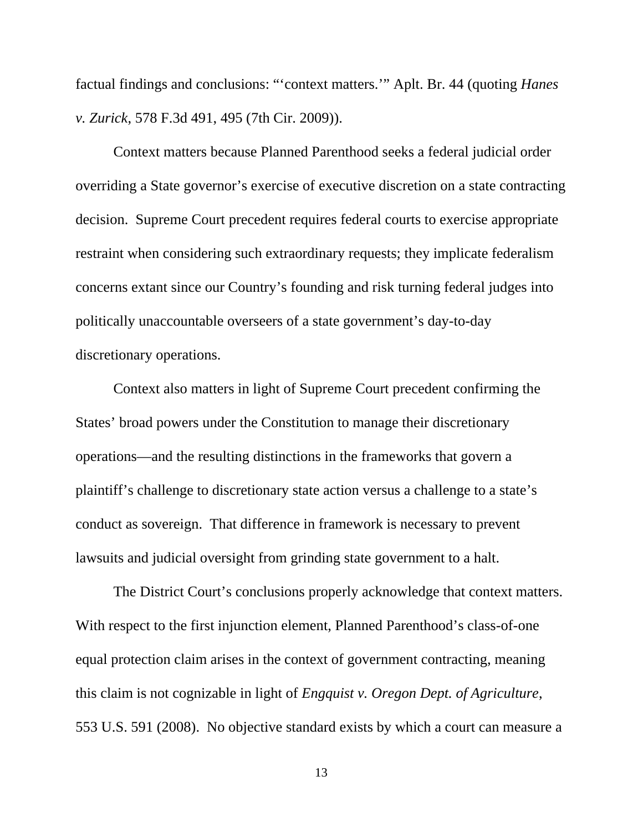factual findings and conclusions: "'context matters.'" Aplt. Br. 44 (quoting *Hanes v. Zurick*, 578 F.3d 491, 495 (7th Cir. 2009)).

Context matters because Planned Parenthood seeks a federal judicial order overriding a State governor's exercise of executive discretion on a state contracting decision. Supreme Court precedent requires federal courts to exercise appropriate restraint when considering such extraordinary requests; they implicate federalism concerns extant since our Country's founding and risk turning federal judges into politically unaccountable overseers of a state government's day-to-day discretionary operations.

Context also matters in light of Supreme Court precedent confirming the States' broad powers under the Constitution to manage their discretionary operations—and the resulting distinctions in the frameworks that govern a plaintiff's challenge to discretionary state action versus a challenge to a state's conduct as sovereign. That difference in framework is necessary to prevent lawsuits and judicial oversight from grinding state government to a halt.

The District Court's conclusions properly acknowledge that context matters. With respect to the first injunction element, Planned Parenthood's class-of-one equal protection claim arises in the context of government contracting, meaning this claim is not cognizable in light of *Engquist v. Oregon Dept. of Agriculture*, 553 U.S. 591 (2008). No objective standard exists by which a court can measure a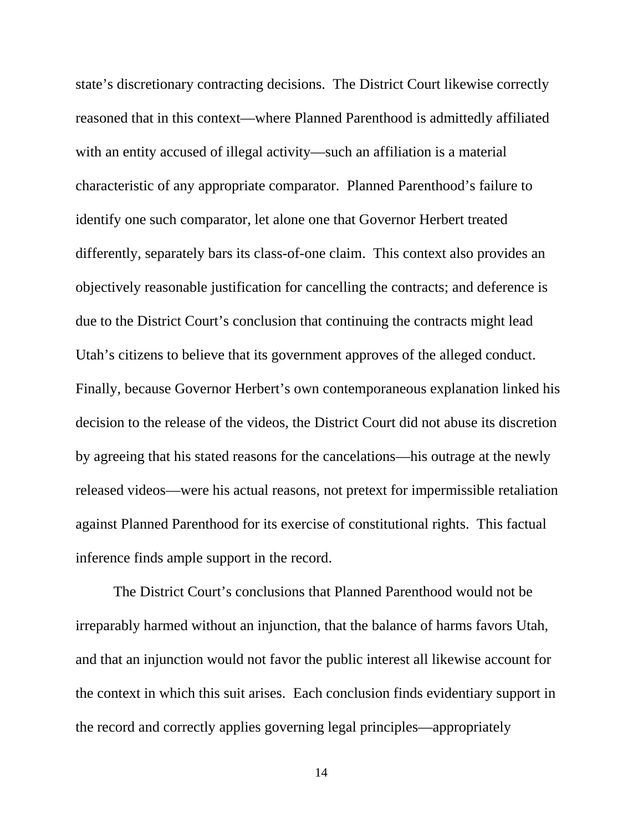state's discretionary contracting decisions. The District Court likewise correctly reasoned that in this context—where Planned Parenthood is admittedly affiliated with an entity accused of illegal activity—such an affiliation is a material characteristic of any appropriate comparator. Planned Parenthood's failure to identify one such comparator, let alone one that Governor Herbert treated differently, separately bars its class-of-one claim. This context also provides an objectively reasonable justification for cancelling the contracts; and deference is due to the District Court's conclusion that continuing the contracts might lead Utah's citizens to believe that its government approves of the alleged conduct. Finally, because Governor Herbert's own contemporaneous explanation linked his decision to the release of the videos, the District Court did not abuse its discretion by agreeing that his stated reasons for the cancelations—his outrage at the newly released videos—were his actual reasons, not pretext for impermissible retaliation against Planned Parenthood for its exercise of constitutional rights. This factual inference finds ample support in the record.

The District Court's conclusions that Planned Parenthood would not be irreparably harmed without an injunction, that the balance of harms favors Utah, and that an injunction would not favor the public interest all likewise account for the context in which this suit arises. Each conclusion finds evidentiary support in the record and correctly applies governing legal principles—appropriately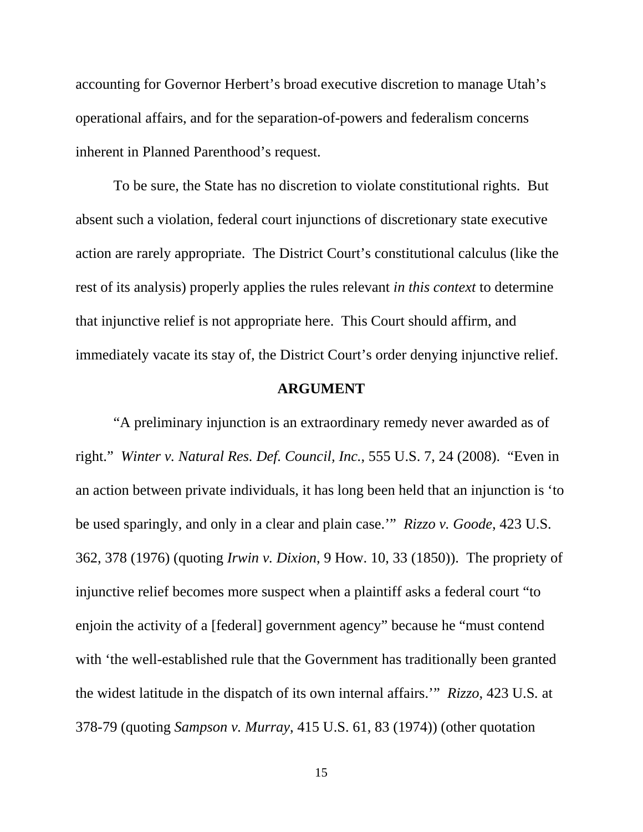accounting for Governor Herbert's broad executive discretion to manage Utah's operational affairs, and for the separation-of-powers and federalism concerns inherent in Planned Parenthood's request.

To be sure, the State has no discretion to violate constitutional rights. But absent such a violation, federal court injunctions of discretionary state executive action are rarely appropriate. The District Court's constitutional calculus (like the rest of its analysis) properly applies the rules relevant *in this context* to determine that injunctive relief is not appropriate here. This Court should affirm, and immediately vacate its stay of, the District Court's order denying injunctive relief.

#### **ARGUMENT**

"A preliminary injunction is an extraordinary remedy never awarded as of right." *Winter v. Natural Res. Def. Council, Inc.*, 555 U.S. 7, 24 (2008). "Even in an action between private individuals, it has long been held that an injunction is 'to be used sparingly, and only in a clear and plain case.'" *Rizzo v. Goode*, 423 U.S. 362, 378 (1976) (quoting *Irwin v. Dixion*, 9 How. 10, 33 (1850)). The propriety of injunctive relief becomes more suspect when a plaintiff asks a federal court "to enjoin the activity of a [federal] government agency" because he "must contend with 'the well-established rule that the Government has traditionally been granted the widest latitude in the dispatch of its own internal affairs.'" *Rizzo*, 423 U.S*.* at 378-79 (quoting *Sampson v. Murray*, 415 U.S. 61, 83 (1974)) (other quotation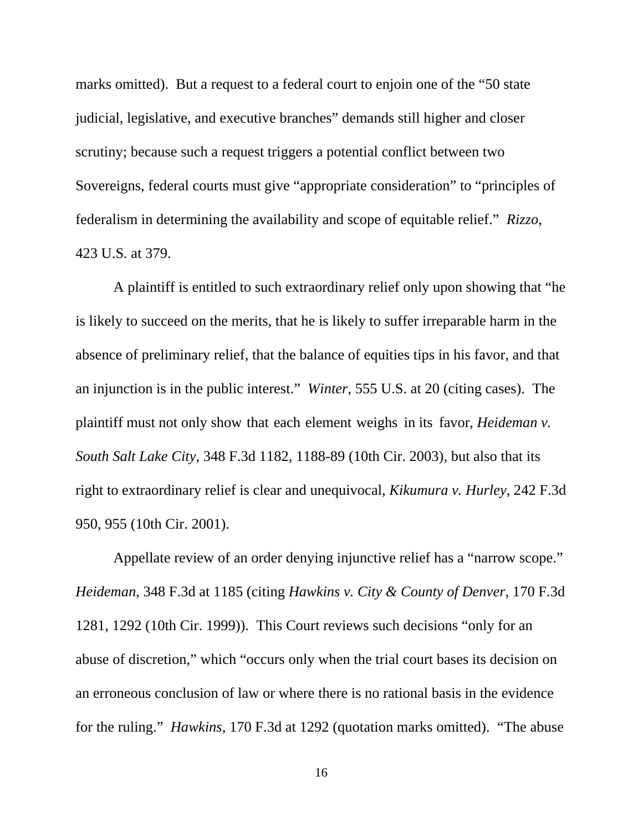marks omitted). But a request to a federal court to enjoin one of the "50 state judicial, legislative, and executive branches" demands still higher and closer scrutiny; because such a request triggers a potential conflict between two Sovereigns, federal courts must give "appropriate consideration" to "principles of federalism in determining the availability and scope of equitable relief." *Rizzo*, 423 U.S*.* at 379.

A plaintiff is entitled to such extraordinary relief only upon showing that "he is likely to succeed on the merits, that he is likely to suffer irreparable harm in the absence of preliminary relief, that the balance of equities tips in his favor, and that an injunction is in the public interest." *Winter*, 555 U.S. at 20 (citing cases). The plaintiff must not only show that each element weighs in its favor, *Heideman v. South Salt Lake City*, 348 F.3d 1182, 1188-89 (10th Cir. 2003), but also that its right to extraordinary relief is clear and unequivocal, *Kikumura v. Hurley*, 242 F.3d 950, 955 (10th Cir. 2001).

Appellate review of an order denying injunctive relief has a "narrow scope." *Heideman*, 348 F.3d at 1185 (citing *Hawkins v. City & County of Denver*, 170 F.3d 1281, 1292 (10th Cir. 1999)). This Court reviews such decisions "only for an abuse of discretion," which "occurs only when the trial court bases its decision on an erroneous conclusion of law or where there is no rational basis in the evidence for the ruling." *Hawkins*, 170 F.3d at 1292 (quotation marks omitted). "The abuse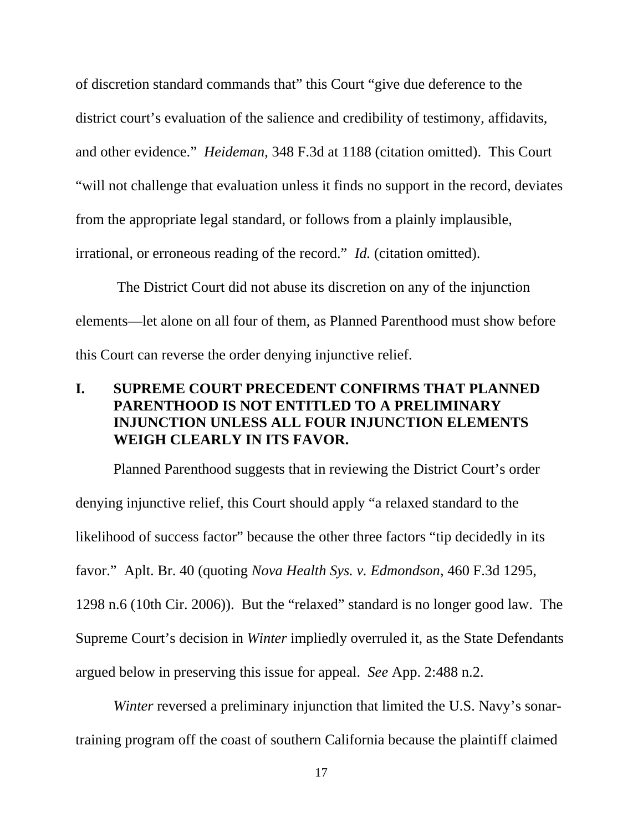of discretion standard commands that" this Court "give due deference to the district court's evaluation of the salience and credibility of testimony, affidavits, and other evidence." *Heideman*, 348 F.3d at 1188 (citation omitted). This Court "will not challenge that evaluation unless it finds no support in the record, deviates from the appropriate legal standard, or follows from a plainly implausible, irrational, or erroneous reading of the record." *Id.* (citation omitted).

 The District Court did not abuse its discretion on any of the injunction elements—let alone on all four of them, as Planned Parenthood must show before this Court can reverse the order denying injunctive relief.

# **I. SUPREME COURT PRECEDENT CONFIRMS THAT PLANNED PARENTHOOD IS NOT ENTITLED TO A PRELIMINARY INJUNCTION UNLESS ALL FOUR INJUNCTION ELEMENTS WEIGH CLEARLY IN ITS FAVOR.**

Planned Parenthood suggests that in reviewing the District Court's order denying injunctive relief, this Court should apply "a relaxed standard to the likelihood of success factor" because the other three factors "tip decidedly in its favor." Aplt. Br. 40 (quoting *Nova Health Sys. v. Edmondson*, 460 F.3d 1295, 1298 n.6 (10th Cir. 2006)). But the "relaxed" standard is no longer good law. The Supreme Court's decision in *Winter* impliedly overruled it, as the State Defendants argued below in preserving this issue for appeal. *See* App. 2:488 n.2.

*Winter reversed a preliminary injunction that limited the U.S. Navy's sonar*training program off the coast of southern California because the plaintiff claimed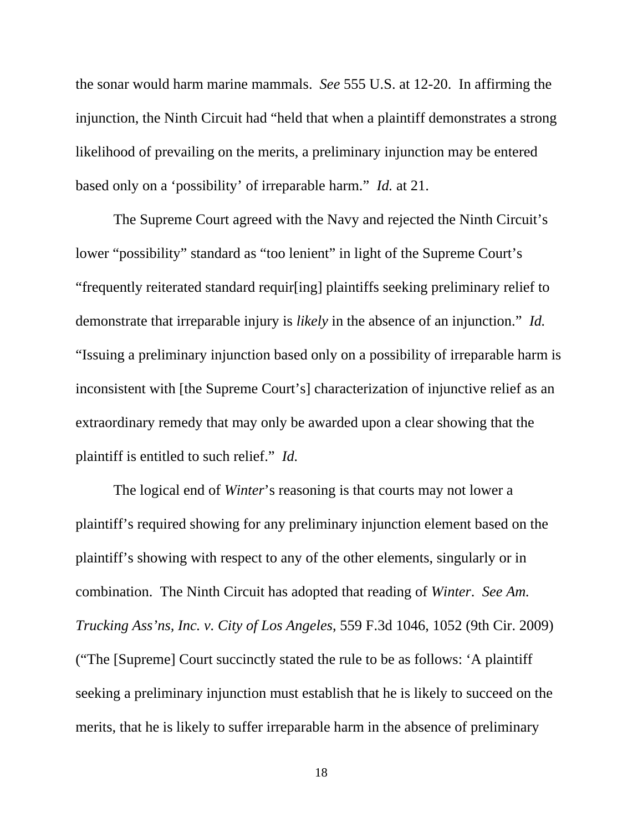the sonar would harm marine mammals. *See* 555 U.S. at 12-20. In affirming the injunction, the Ninth Circuit had "held that when a plaintiff demonstrates a strong likelihood of prevailing on the merits, a preliminary injunction may be entered based only on a 'possibility' of irreparable harm." *Id.* at 21.

The Supreme Court agreed with the Navy and rejected the Ninth Circuit's lower "possibility" standard as "too lenient" in light of the Supreme Court's "frequently reiterated standard requir[ing] plaintiffs seeking preliminary relief to demonstrate that irreparable injury is *likely* in the absence of an injunction." *Id.* "Issuing a preliminary injunction based only on a possibility of irreparable harm is inconsistent with [the Supreme Court's] characterization of injunctive relief as an extraordinary remedy that may only be awarded upon a clear showing that the plaintiff is entitled to such relief." *Id.*

The logical end of *Winter*'s reasoning is that courts may not lower a plaintiff's required showing for any preliminary injunction element based on the plaintiff's showing with respect to any of the other elements, singularly or in combination. The Ninth Circuit has adopted that reading of *Winter*. *See Am. Trucking Ass'ns, Inc. v. City of Los Angeles*, 559 F.3d 1046, 1052 (9th Cir. 2009) ("The [Supreme] Court succinctly stated the rule to be as follows: 'A plaintiff seeking a preliminary injunction must establish that he is likely to succeed on the merits, that he is likely to suffer irreparable harm in the absence of preliminary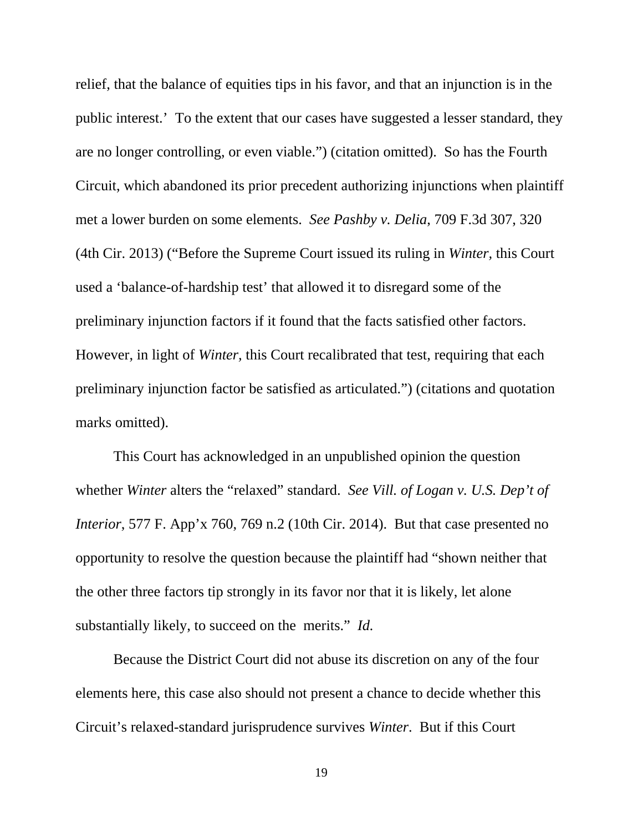relief, that the balance of equities tips in his favor, and that an injunction is in the public interest.' To the extent that our cases have suggested a lesser standard, they are no longer controlling, or even viable.") (citation omitted). So has the Fourth Circuit, which abandoned its prior precedent authorizing injunctions when plaintiff met a lower burden on some elements. *See Pashby v. Delia*, 709 F.3d 307, 320 (4th Cir. 2013) ("Before the Supreme Court issued its ruling in *Winter,* this Court used a 'balance-of-hardship test' that allowed it to disregard some of the preliminary injunction factors if it found that the facts satisfied other factors. However, in light of *Winter,* this Court recalibrated that test, requiring that each preliminary injunction factor be satisfied as articulated.") (citations and quotation marks omitted).

This Court has acknowledged in an unpublished opinion the question whether *Winter* alters the "relaxed" standard. *See Vill. of Logan v. U.S. Dep't of Interior*, 577 F. App'x 760, 769 n.2 (10th Cir. 2014). But that case presented no opportunity to resolve the question because the plaintiff had "shown neither that the other three factors tip strongly in its favor nor that it is likely, let alone substantially likely, to succeed on the merits." *Id.*

Because the District Court did not abuse its discretion on any of the four elements here, this case also should not present a chance to decide whether this Circuit's relaxed-standard jurisprudence survives *Winter*. But if this Court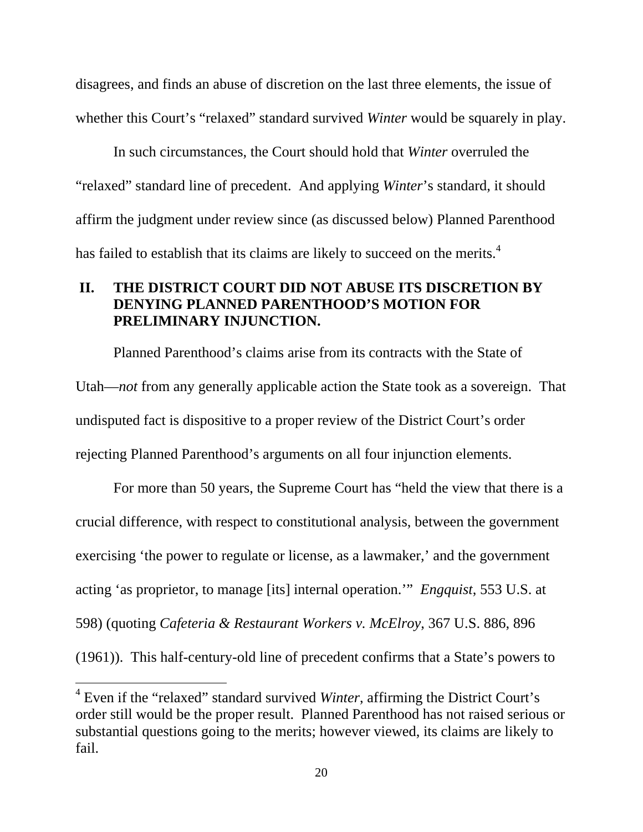disagrees, and finds an abuse of discretion on the last three elements, the issue of whether this Court's "relaxed" standard survived *Winter* would be squarely in play.

In such circumstances, the Court should hold that *Winter* overruled the "relaxed" standard line of precedent. And applying *Winter*'s standard, it should affirm the judgment under review since (as discussed below) Planned Parenthood has failed to establish that its claims are likely to succeed on the merits.<sup>4</sup>

# **II. THE DISTRICT COURT DID NOT ABUSE ITS DISCRETION BY DENYING PLANNED PARENTHOOD'S MOTION FOR PRELIMINARY INJUNCTION.**

Planned Parenthood's claims arise from its contracts with the State of Utah—*not* from any generally applicable action the State took as a sovereign. That undisputed fact is dispositive to a proper review of the District Court's order rejecting Planned Parenthood's arguments on all four injunction elements.

For more than 50 years, the Supreme Court has "held the view that there is a crucial difference, with respect to constitutional analysis, between the government exercising 'the power to regulate or license, as a lawmaker,' and the government acting 'as proprietor, to manage [its] internal operation.'" *Engquist*, 553 U.S. at 598) (quoting *Cafeteria & Restaurant Workers v. McElroy*, 367 U.S. 886, 896 (1961)). This half-century-old line of precedent confirms that a State's powers to

 $\overline{a}$ 

<sup>&</sup>lt;sup>4</sup> Even if the "relaxed" standard survived *Winter*, affirming the District Court's order still would be the proper result. Planned Parenthood has not raised serious or substantial questions going to the merits; however viewed, its claims are likely to fail.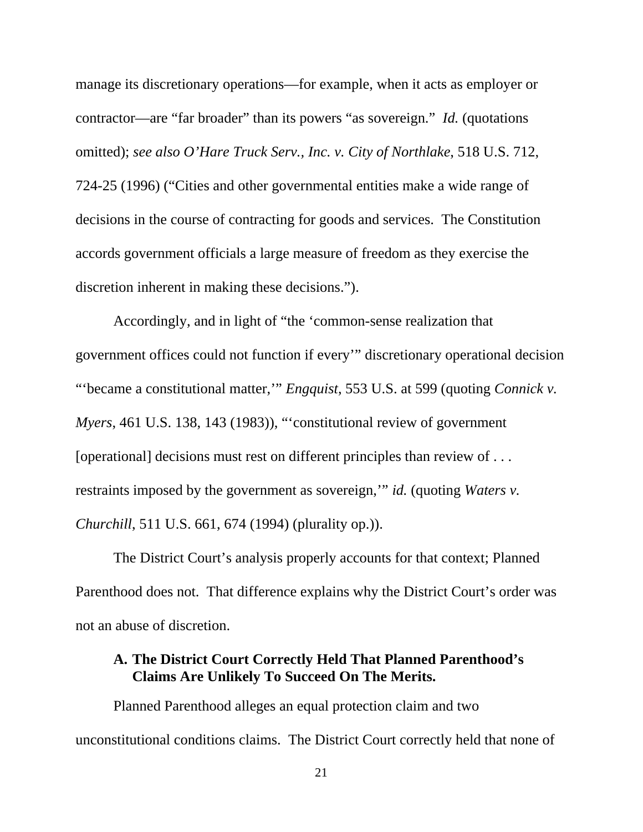manage its discretionary operations—for example, when it acts as employer or contractor—are "far broader" than its powers "as sovereign." *Id.* (quotations omitted); *see also O'Hare Truck Serv., Inc. v. City of Northlake*, 518 U.S. 712, 724-25 (1996) ("Cities and other governmental entities make a wide range of decisions in the course of contracting for goods and services. The Constitution accords government officials a large measure of freedom as they exercise the discretion inherent in making these decisions.").

Accordingly, and in light of "the 'common-sense realization that government offices could not function if every'" discretionary operational decision "'became a constitutional matter,'" *Engquist*, 553 U.S. at 599 (quoting *Connick v. Myers*, 461 U.S. 138, 143 (1983)), "'constitutional review of government [operational] decisions must rest on different principles than review of . . . restraints imposed by the government as sovereign,'" *id.* (quoting *Waters v. Churchill*, 511 U.S. 661, 674 (1994) (plurality op.)).

The District Court's analysis properly accounts for that context; Planned Parenthood does not. That difference explains why the District Court's order was not an abuse of discretion.

## **A. The District Court Correctly Held That Planned Parenthood's Claims Are Unlikely To Succeed On The Merits.**

Planned Parenthood alleges an equal protection claim and two unconstitutional conditions claims. The District Court correctly held that none of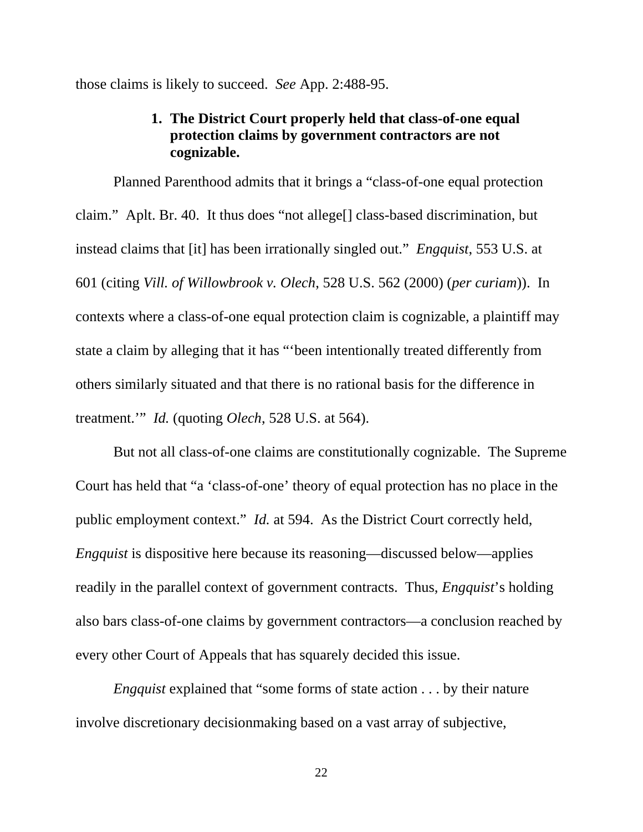those claims is likely to succeed. *See* App. 2:488-95.

## **1. The District Court properly held that class-of-one equal protection claims by government contractors are not cognizable.**

Planned Parenthood admits that it brings a "class-of-one equal protection claim." Aplt. Br. 40. It thus does "not allege[] class-based discrimination, but instead claims that [it] has been irrationally singled out." *Engquist*, 553 U.S. at 601 (citing *Vill. of Willowbrook v. Olech*, 528 U.S. 562 (2000) (*per curiam*)). In contexts where a class-of-one equal protection claim is cognizable, a plaintiff may state a claim by alleging that it has "'been intentionally treated differently from others similarly situated and that there is no rational basis for the difference in treatment.'" *Id.* (quoting *Olech*, 528 U.S. at 564).

But not all class-of-one claims are constitutionally cognizable. The Supreme Court has held that "a 'class-of-one' theory of equal protection has no place in the public employment context." *Id.* at 594. As the District Court correctly held, *Engquist* is dispositive here because its reasoning—discussed below—applies readily in the parallel context of government contracts. Thus, *Engquist*'s holding also bars class-of-one claims by government contractors—a conclusion reached by every other Court of Appeals that has squarely decided this issue.

*Engquist* explained that "some forms of state action . . . by their nature involve discretionary decisionmaking based on a vast array of subjective,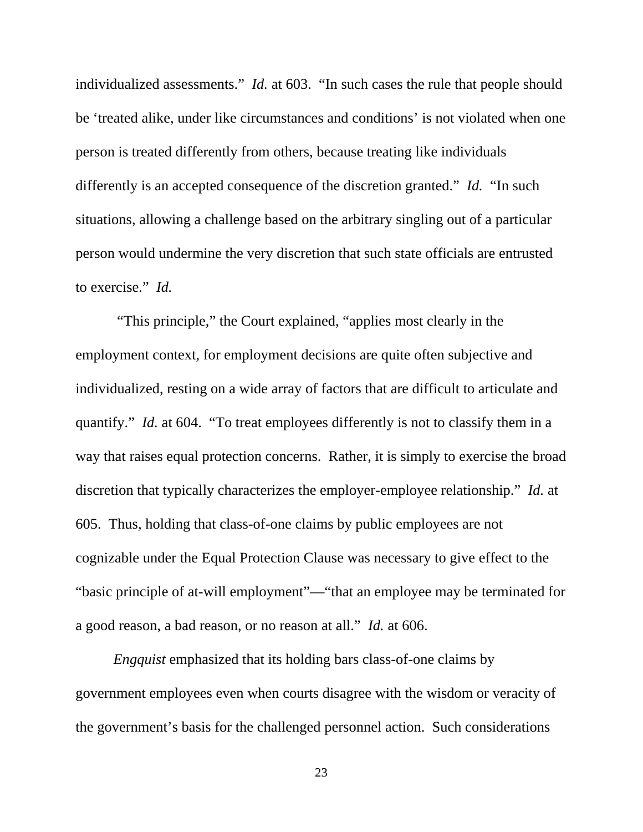individualized assessments." *Id.* at 603. "In such cases the rule that people should be 'treated alike, under like circumstances and conditions' is not violated when one person is treated differently from others, because treating like individuals differently is an accepted consequence of the discretion granted." *Id.* "In such situations, allowing a challenge based on the arbitrary singling out of a particular person would undermine the very discretion that such state officials are entrusted to exercise." *Id.* 

 "This principle," the Court explained, "applies most clearly in the employment context, for employment decisions are quite often subjective and individualized, resting on a wide array of factors that are difficult to articulate and quantify." *Id.* at 604. "To treat employees differently is not to classify them in a way that raises equal protection concerns. Rather, it is simply to exercise the broad discretion that typically characterizes the employer-employee relationship." *Id.* at 605. Thus, holding that class-of-one claims by public employees are not cognizable under the Equal Protection Clause was necessary to give effect to the "basic principle of at-will employment"—"that an employee may be terminated for a good reason, a bad reason, or no reason at all." *Id.* at 606.

*Engquist* emphasized that its holding bars class-of-one claims by government employees even when courts disagree with the wisdom or veracity of the government's basis for the challenged personnel action. Such considerations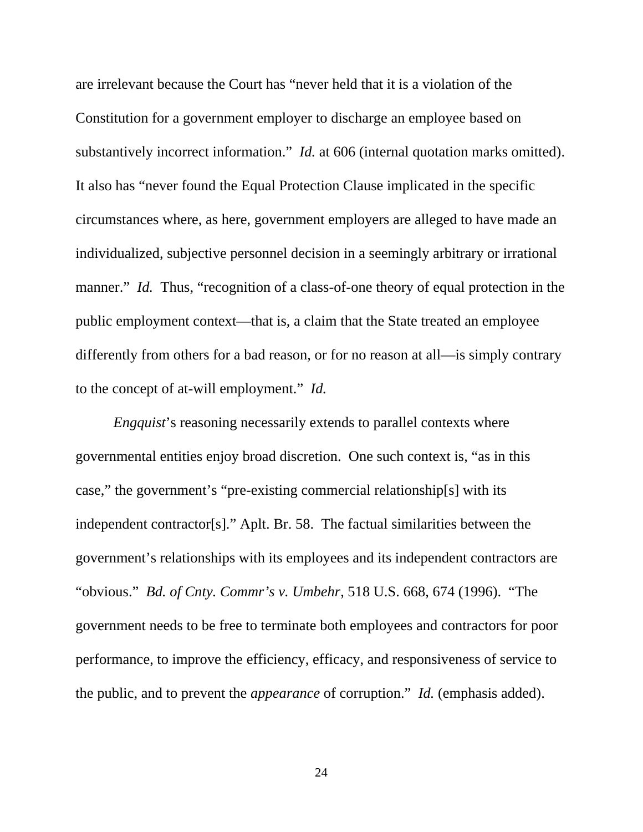are irrelevant because the Court has "never held that it is a violation of the Constitution for a government employer to discharge an employee based on substantively incorrect information." *Id.* at 606 (internal quotation marks omitted). It also has "never found the Equal Protection Clause implicated in the specific circumstances where, as here, government employers are alleged to have made an individualized, subjective personnel decision in a seemingly arbitrary or irrational manner." *Id.* Thus, "recognition of a class-of-one theory of equal protection in the public employment context—that is, a claim that the State treated an employee differently from others for a bad reason, or for no reason at all—is simply contrary to the concept of at-will employment." *Id.*

*Engquist*'s reasoning necessarily extends to parallel contexts where governmental entities enjoy broad discretion. One such context is, "as in this case," the government's "pre-existing commercial relationship[s] with its independent contractor[s]." Aplt. Br. 58. The factual similarities between the government's relationships with its employees and its independent contractors are "obvious." *Bd. of Cnty. Commr's v. Umbehr*, 518 U.S. 668, 674 (1996). "The government needs to be free to terminate both employees and contractors for poor performance, to improve the efficiency, efficacy, and responsiveness of service to the public, and to prevent the *appearance* of corruption." *Id.* (emphasis added).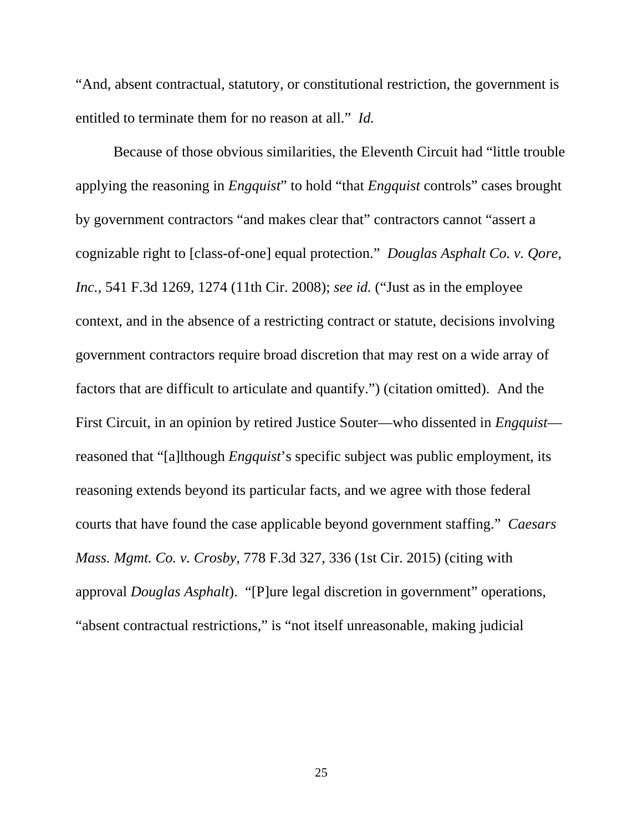"And, absent contractual, statutory, or constitutional restriction, the government is entitled to terminate them for no reason at all." *Id.*

Because of those obvious similarities, the Eleventh Circuit had "little trouble applying the reasoning in *Engquist*" to hold "that *Engquist* controls" cases brought by government contractors "and makes clear that" contractors cannot "assert a cognizable right to [class-of-one] equal protection." *Douglas Asphalt Co. v. Qore, Inc.*, 541 F.3d 1269, 1274 (11th Cir. 2008); *see id.* ("Just as in the employee context, and in the absence of a restricting contract or statute, decisions involving government contractors require broad discretion that may rest on a wide array of factors that are difficult to articulate and quantify.") (citation omitted). And the First Circuit, in an opinion by retired Justice Souter—who dissented in *Engquist* reasoned that "[a]lthough *Engquist*'s specific subject was public employment, its reasoning extends beyond its particular facts, and we agree with those federal courts that have found the case applicable beyond government staffing." *Caesars Mass. Mgmt. Co. v. Crosby*, 778 F.3d 327, 336 (1st Cir. 2015) (citing with approval *Douglas Asphalt*). "[P]ure legal discretion in government" operations, "absent contractual restrictions," is "not itself unreasonable, making judicial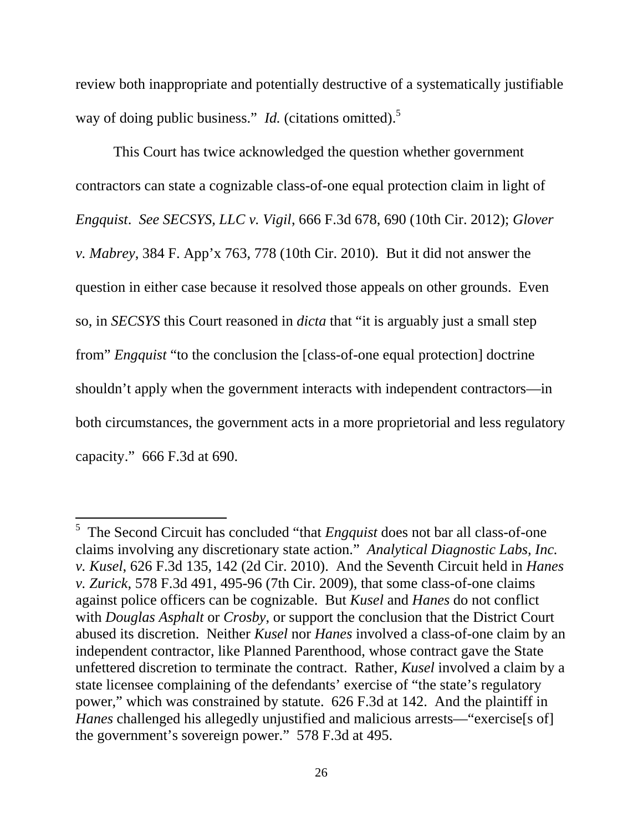review both inappropriate and potentially destructive of a systematically justifiable way of doing public business." *Id.* (citations omitted).<sup>5</sup>

This Court has twice acknowledged the question whether government contractors can state a cognizable class-of-one equal protection claim in light of *Engquist*. *See SECSYS, LLC v. Vigil*, 666 F.3d 678, 690 (10th Cir. 2012); *Glover v. Mabrey*, 384 F. App'x 763, 778 (10th Cir. 2010). But it did not answer the question in either case because it resolved those appeals on other grounds. Even so, in *SECSYS* this Court reasoned in *dicta* that "it is arguably just a small step from" *Engquist* "to the conclusion the [class-of-one equal protection] doctrine shouldn't apply when the government interacts with independent contractors—in both circumstances, the government acts in a more proprietorial and less regulatory capacity." 666 F.3d at 690.

 $\overline{a}$ 

<sup>&</sup>lt;sup>5</sup> The Second Circuit has concluded "that *Engquist* does not bar all class-of-one claims involving any discretionary state action." *Analytical Diagnostic Labs, Inc. v. Kusel*, 626 F.3d 135, 142 (2d Cir. 2010). And the Seventh Circuit held in *Hanes v. Zurick*, 578 F.3d 491, 495-96 (7th Cir. 2009), that some class-of-one claims against police officers can be cognizable. But *Kusel* and *Hanes* do not conflict with *Douglas Asphalt* or *Crosby*, or support the conclusion that the District Court abused its discretion. Neither *Kusel* nor *Hanes* involved a class-of-one claim by an independent contractor, like Planned Parenthood, whose contract gave the State unfettered discretion to terminate the contract. Rather, *Kusel* involved a claim by a state licensee complaining of the defendants' exercise of "the state's regulatory power," which was constrained by statute. 626 F.3d at 142. And the plaintiff in *Hanes* challenged his allegedly unjustified and malicious arrests—"exercise<sup>[s of]</sup> the government's sovereign power." 578 F.3d at 495.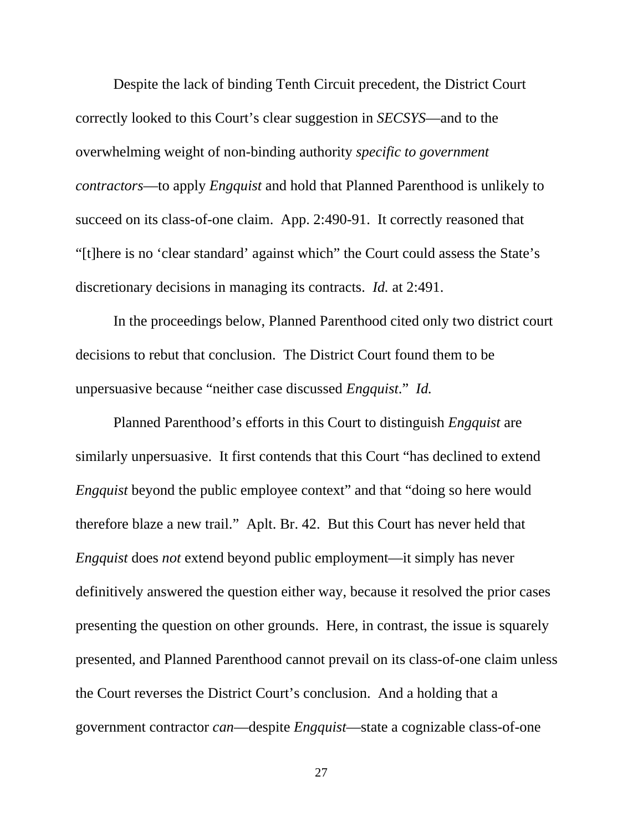Despite the lack of binding Tenth Circuit precedent, the District Court correctly looked to this Court's clear suggestion in *SECSYS*—and to the overwhelming weight of non-binding authority *specific to government contractors*—to apply *Engquist* and hold that Planned Parenthood is unlikely to succeed on its class-of-one claim. App. 2:490-91. It correctly reasoned that "[t]here is no 'clear standard' against which" the Court could assess the State's discretionary decisions in managing its contracts. *Id.* at 2:491.

In the proceedings below, Planned Parenthood cited only two district court decisions to rebut that conclusion. The District Court found them to be unpersuasive because "neither case discussed *Engquist*." *Id.*

Planned Parenthood's efforts in this Court to distinguish *Engquist* are similarly unpersuasive. It first contends that this Court "has declined to extend *Engquist* beyond the public employee context" and that "doing so here would therefore blaze a new trail." Aplt. Br. 42. But this Court has never held that *Engquist* does *not* extend beyond public employment—it simply has never definitively answered the question either way, because it resolved the prior cases presenting the question on other grounds. Here, in contrast, the issue is squarely presented, and Planned Parenthood cannot prevail on its class-of-one claim unless the Court reverses the District Court's conclusion. And a holding that a government contractor *can*—despite *Engquist*—state a cognizable class-of-one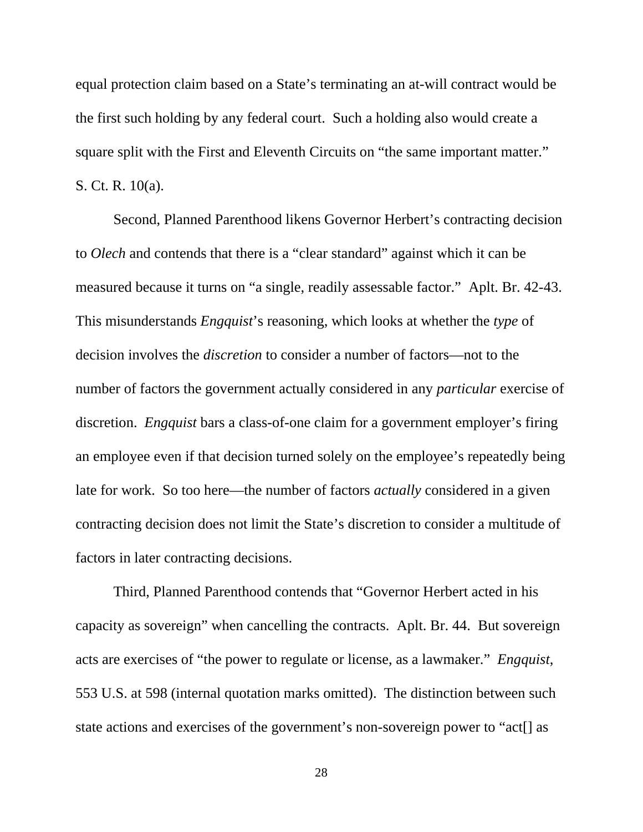equal protection claim based on a State's terminating an at-will contract would be the first such holding by any federal court. Such a holding also would create a square split with the First and Eleventh Circuits on "the same important matter." S. Ct. R. 10(a).

Second, Planned Parenthood likens Governor Herbert's contracting decision to *Olech* and contends that there is a "clear standard" against which it can be measured because it turns on "a single, readily assessable factor." Aplt. Br. 42-43. This misunderstands *Engquist*'s reasoning, which looks at whether the *type* of decision involves the *discretion* to consider a number of factors—not to the number of factors the government actually considered in any *particular* exercise of discretion. *Engquist* bars a class-of-one claim for a government employer's firing an employee even if that decision turned solely on the employee's repeatedly being late for work. So too here—the number of factors *actually* considered in a given contracting decision does not limit the State's discretion to consider a multitude of factors in later contracting decisions.

Third, Planned Parenthood contends that "Governor Herbert acted in his capacity as sovereign" when cancelling the contracts. Aplt. Br. 44. But sovereign acts are exercises of "the power to regulate or license, as a lawmaker." *Engquist*, 553 U.S. at 598 (internal quotation marks omitted). The distinction between such state actions and exercises of the government's non-sovereign power to "act[] as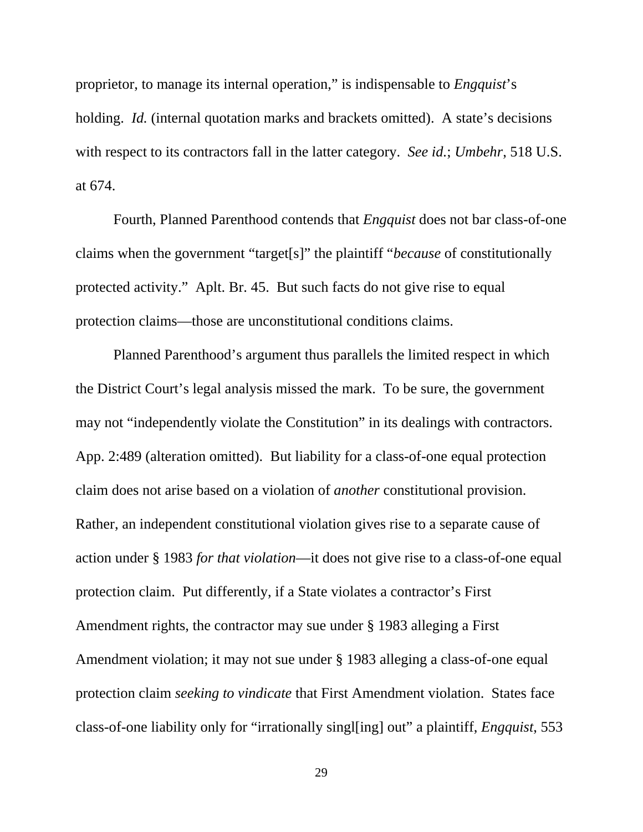proprietor, to manage its internal operation," is indispensable to *Engquist*'s holding. *Id.* (internal quotation marks and brackets omitted). A state's decisions with respect to its contractors fall in the latter category. *See id.*; *Umbehr*, 518 U.S. at 674.

Fourth, Planned Parenthood contends that *Engquist* does not bar class-of-one claims when the government "target[s]" the plaintiff "*because* of constitutionally protected activity." Aplt. Br. 45. But such facts do not give rise to equal protection claims—those are unconstitutional conditions claims.

Planned Parenthood's argument thus parallels the limited respect in which the District Court's legal analysis missed the mark. To be sure, the government may not "independently violate the Constitution" in its dealings with contractors. App. 2:489 (alteration omitted). But liability for a class-of-one equal protection claim does not arise based on a violation of *another* constitutional provision. Rather, an independent constitutional violation gives rise to a separate cause of action under § 1983 *for that violation*—it does not give rise to a class-of-one equal protection claim. Put differently, if a State violates a contractor's First Amendment rights, the contractor may sue under § 1983 alleging a First Amendment violation; it may not sue under § 1983 alleging a class-of-one equal protection claim *seeking to vindicate* that First Amendment violation. States face class-of-one liability only for "irrationally singl[ing] out" a plaintiff, *Engquist*, 553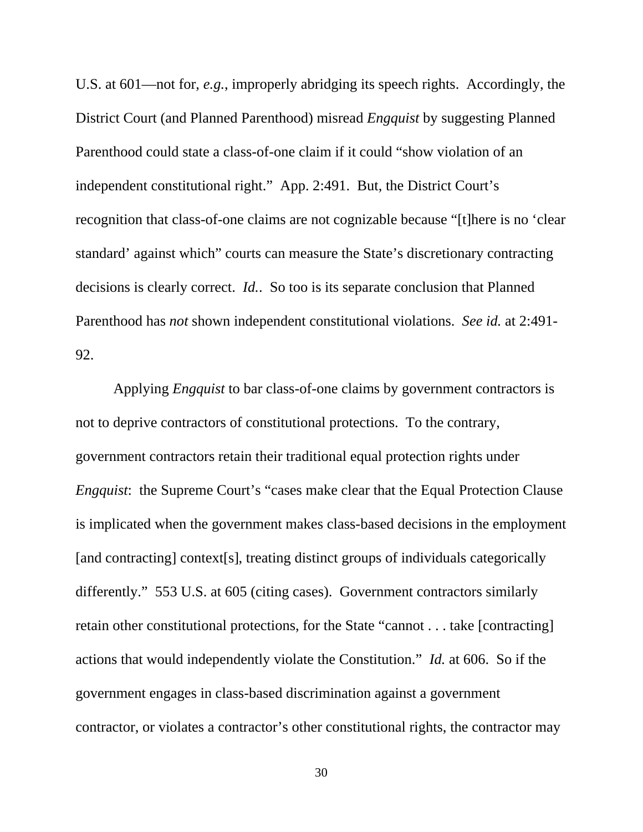U.S. at 601—not for, *e.g.*, improperly abridging its speech rights. Accordingly, the District Court (and Planned Parenthood) misread *Engquist* by suggesting Planned Parenthood could state a class-of-one claim if it could "show violation of an independent constitutional right." App. 2:491. But, the District Court's recognition that class-of-one claims are not cognizable because "[t]here is no 'clear standard' against which" courts can measure the State's discretionary contracting decisions is clearly correct. *Id.*. So too is its separate conclusion that Planned Parenthood has *not* shown independent constitutional violations. *See id.* at 2:491- 92.

Applying *Engquist* to bar class-of-one claims by government contractors is not to deprive contractors of constitutional protections. To the contrary, government contractors retain their traditional equal protection rights under *Engquist*: the Supreme Court's "cases make clear that the Equal Protection Clause" is implicated when the government makes class-based decisions in the employment [and contracting] context[s], treating distinct groups of individuals categorically differently." 553 U.S. at 605 (citing cases). Government contractors similarly retain other constitutional protections, for the State "cannot . . . take [contracting] actions that would independently violate the Constitution." *Id.* at 606. So if the government engages in class-based discrimination against a government contractor, or violates a contractor's other constitutional rights, the contractor may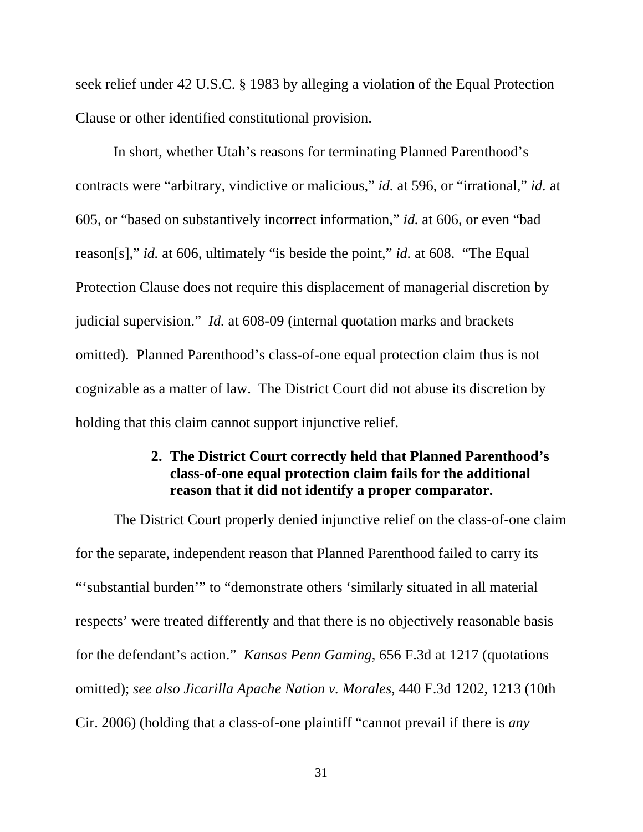seek relief under 42 U.S.C. § 1983 by alleging a violation of the Equal Protection Clause or other identified constitutional provision.

In short, whether Utah's reasons for terminating Planned Parenthood's contracts were "arbitrary, vindictive or malicious," *id.* at 596, or "irrational," *id.* at 605, or "based on substantively incorrect information," *id.* at 606, or even "bad reason[s]," *id.* at 606, ultimately "is beside the point," *id.* at 608. "The Equal Protection Clause does not require this displacement of managerial discretion by judicial supervision." *Id.* at 608-09 (internal quotation marks and brackets omitted). Planned Parenthood's class-of-one equal protection claim thus is not cognizable as a matter of law. The District Court did not abuse its discretion by holding that this claim cannot support injunctive relief.

# **2. The District Court correctly held that Planned Parenthood's class-of-one equal protection claim fails for the additional reason that it did not identify a proper comparator.**

The District Court properly denied injunctive relief on the class-of-one claim for the separate, independent reason that Planned Parenthood failed to carry its "'substantial burden'" to "demonstrate others 'similarly situated in all material respects' were treated differently and that there is no objectively reasonable basis for the defendant's action." *Kansas Penn Gaming*, 656 F.3d at 1217 (quotations omitted); *see also Jicarilla Apache Nation v. Morales*, 440 F.3d 1202, 1213 (10th Cir. 2006) (holding that a class-of-one plaintiff "cannot prevail if there is *any*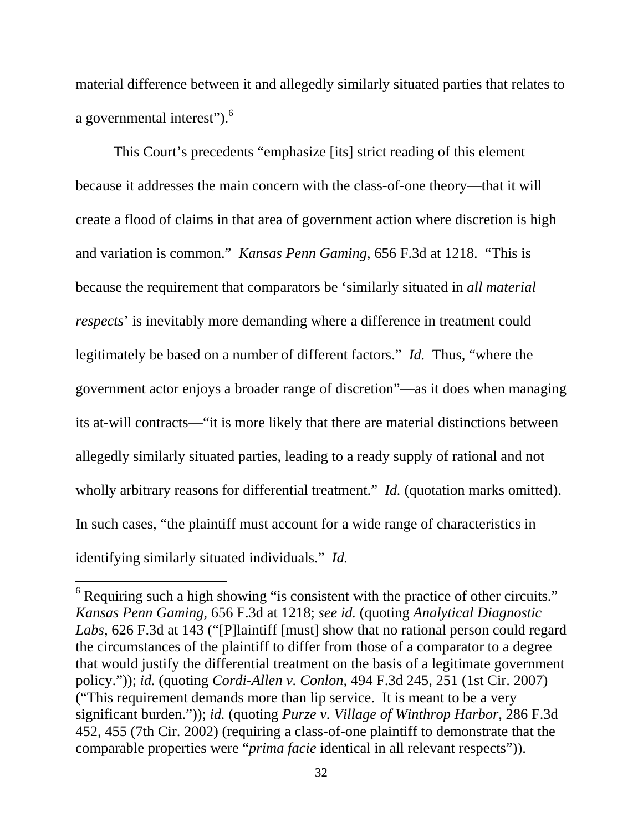material difference between it and allegedly similarly situated parties that relates to a governmental interest").<sup>6</sup>

This Court's precedents "emphasize [its] strict reading of this element because it addresses the main concern with the class-of-one theory—that it will create a flood of claims in that area of government action where discretion is high and variation is common." *Kansas Penn Gaming*, 656 F.3d at 1218. "This is because the requirement that comparators be 'similarly situated in *all material respects*' is inevitably more demanding where a difference in treatment could legitimately be based on a number of different factors." *Id.* Thus, "where the government actor enjoys a broader range of discretion"—as it does when managing its at-will contracts—"it is more likely that there are material distinctions between allegedly similarly situated parties, leading to a ready supply of rational and not wholly arbitrary reasons for differential treatment." *Id.* (quotation marks omitted). In such cases, "the plaintiff must account for a wide range of characteristics in identifying similarly situated individuals." *Id.*

 $\overline{a}$ 

 $6$  Requiring such a high showing "is consistent with the practice of other circuits." *Kansas Penn Gaming*, 656 F.3d at 1218; *see id.* (quoting *Analytical Diagnostic Labs*, 626 F.3d at 143 ("[P]laintiff [must] show that no rational person could regard the circumstances of the plaintiff to differ from those of a comparator to a degree that would justify the differential treatment on the basis of a legitimate government policy.")); *id.* (quoting *Cordi-Allen v. Conlon*, 494 F.3d 245, 251 (1st Cir. 2007) ("This requirement demands more than lip service. It is meant to be a very significant burden.")); *id.* (quoting *Purze v. Village of Winthrop Harbor*, 286 F.3d 452, 455 (7th Cir. 2002) (requiring a class-of-one plaintiff to demonstrate that the comparable properties were "*prima facie* identical in all relevant respects")).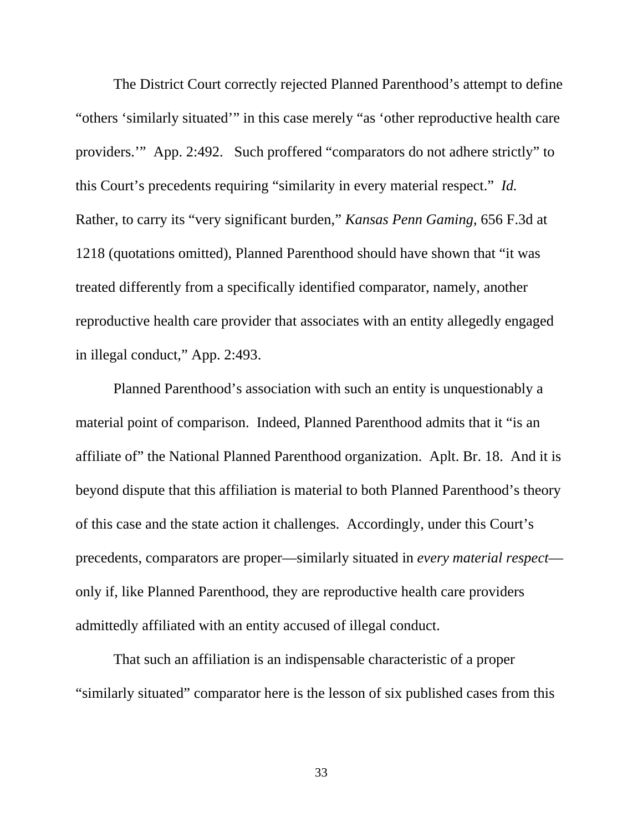The District Court correctly rejected Planned Parenthood's attempt to define "others 'similarly situated'" in this case merely "as 'other reproductive health care providers.'" App. 2:492. Such proffered "comparators do not adhere strictly" to this Court's precedents requiring "similarity in every material respect." *Id.* Rather, to carry its "very significant burden," *Kansas Penn Gaming*, 656 F.3d at 1218 (quotations omitted), Planned Parenthood should have shown that "it was treated differently from a specifically identified comparator, namely, another reproductive health care provider that associates with an entity allegedly engaged in illegal conduct," App. 2:493.

Planned Parenthood's association with such an entity is unquestionably a material point of comparison. Indeed, Planned Parenthood admits that it "is an affiliate of" the National Planned Parenthood organization. Aplt. Br. 18. And it is beyond dispute that this affiliation is material to both Planned Parenthood's theory of this case and the state action it challenges. Accordingly, under this Court's precedents, comparators are proper—similarly situated in *every material respect* only if, like Planned Parenthood, they are reproductive health care providers admittedly affiliated with an entity accused of illegal conduct.

That such an affiliation is an indispensable characteristic of a proper "similarly situated" comparator here is the lesson of six published cases from this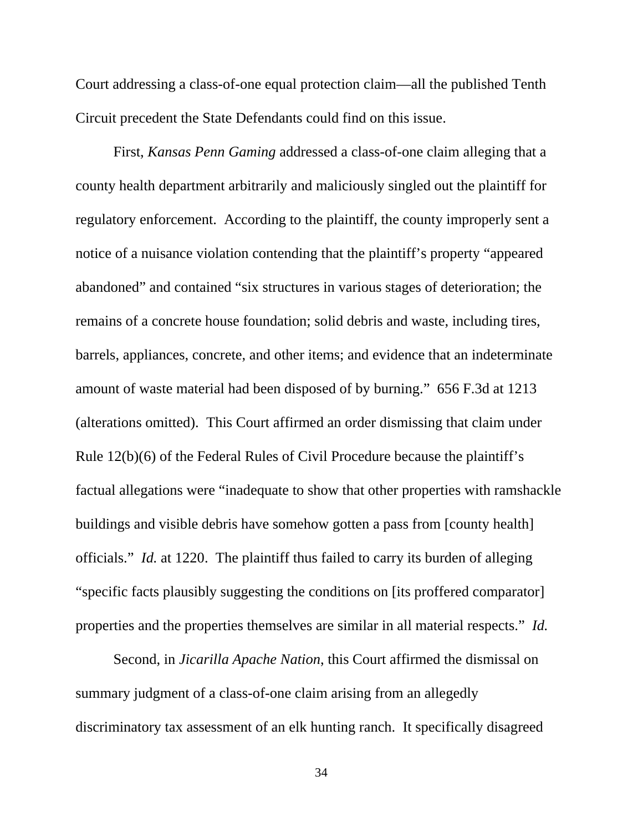Court addressing a class-of-one equal protection claim—all the published Tenth Circuit precedent the State Defendants could find on this issue.

First, *Kansas Penn Gaming* addressed a class-of-one claim alleging that a county health department arbitrarily and maliciously singled out the plaintiff for regulatory enforcement. According to the plaintiff, the county improperly sent a notice of a nuisance violation contending that the plaintiff's property "appeared abandoned" and contained "six structures in various stages of deterioration; the remains of a concrete house foundation; solid debris and waste, including tires, barrels, appliances, concrete, and other items; and evidence that an indeterminate amount of waste material had been disposed of by burning." 656 F.3d at 1213 (alterations omitted). This Court affirmed an order dismissing that claim under Rule 12(b)(6) of the Federal Rules of Civil Procedure because the plaintiff's factual allegations were "inadequate to show that other properties with ramshackle buildings and visible debris have somehow gotten a pass from [county health] officials." *Id.* at 1220. The plaintiff thus failed to carry its burden of alleging "specific facts plausibly suggesting the conditions on [its proffered comparator] properties and the properties themselves are similar in all material respects." *Id.*

Second, in *Jicarilla Apache Nation*, this Court affirmed the dismissal on summary judgment of a class-of-one claim arising from an allegedly discriminatory tax assessment of an elk hunting ranch. It specifically disagreed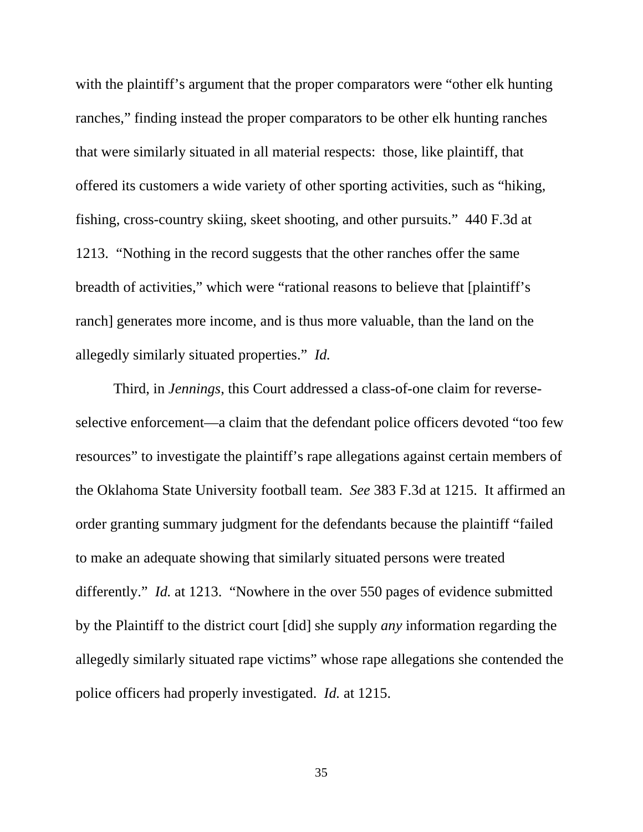with the plaintiff's argument that the proper comparators were "other elk hunting" ranches," finding instead the proper comparators to be other elk hunting ranches that were similarly situated in all material respects: those, like plaintiff, that offered its customers a wide variety of other sporting activities, such as "hiking, fishing, cross-country skiing, skeet shooting, and other pursuits." 440 F.3d at 1213. "Nothing in the record suggests that the other ranches offer the same breadth of activities," which were "rational reasons to believe that [plaintiff's ranch] generates more income, and is thus more valuable, than the land on the allegedly similarly situated properties." *Id.* 

Third, in *Jennings*, this Court addressed a class-of-one claim for reverseselective enforcement—a claim that the defendant police officers devoted "too few resources" to investigate the plaintiff's rape allegations against certain members of the Oklahoma State University football team. *See* 383 F.3d at 1215. It affirmed an order granting summary judgment for the defendants because the plaintiff "failed to make an adequate showing that similarly situated persons were treated differently." *Id.* at 1213. "Nowhere in the over 550 pages of evidence submitted by the Plaintiff to the district court [did] she supply *any* information regarding the allegedly similarly situated rape victims" whose rape allegations she contended the police officers had properly investigated. *Id.* at 1215.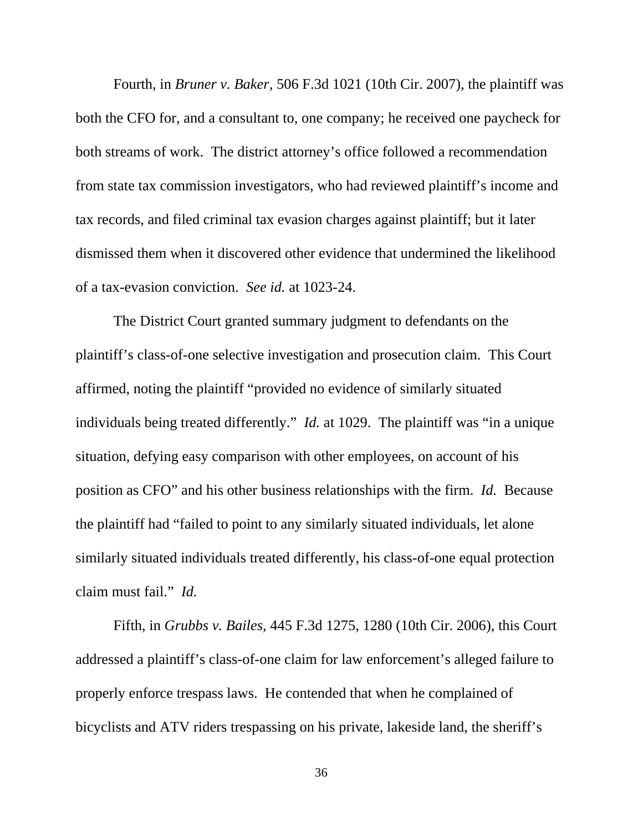Fourth, in *Bruner v. Baker*, 506 F.3d 1021 (10th Cir. 2007), the plaintiff was both the CFO for, and a consultant to, one company; he received one paycheck for both streams of work. The district attorney's office followed a recommendation from state tax commission investigators, who had reviewed plaintiff's income and tax records, and filed criminal tax evasion charges against plaintiff; but it later dismissed them when it discovered other evidence that undermined the likelihood of a tax-evasion conviction. *See id.* at 1023-24.

The District Court granted summary judgment to defendants on the plaintiff's class-of-one selective investigation and prosecution claim. This Court affirmed, noting the plaintiff "provided no evidence of similarly situated individuals being treated differently." *Id.* at 1029. The plaintiff was "in a unique situation, defying easy comparison with other employees, on account of his position as CFO" and his other business relationships with the firm. *Id.* Because the plaintiff had "failed to point to any similarly situated individuals, let alone similarly situated individuals treated differently, his class-of-one equal protection claim must fail." *Id.*

Fifth, in *Grubbs v. Bailes*, 445 F.3d 1275, 1280 (10th Cir. 2006), this Court addressed a plaintiff's class-of-one claim for law enforcement's alleged failure to properly enforce trespass laws. He contended that when he complained of bicyclists and ATV riders trespassing on his private, lakeside land, the sheriff's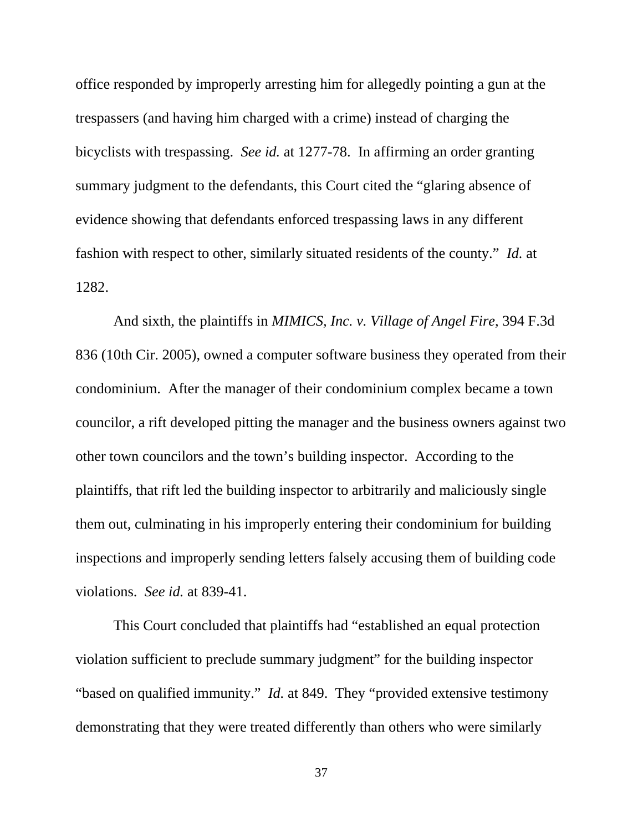office responded by improperly arresting him for allegedly pointing a gun at the trespassers (and having him charged with a crime) instead of charging the bicyclists with trespassing. *See id.* at 1277-78. In affirming an order granting summary judgment to the defendants, this Court cited the "glaring absence of evidence showing that defendants enforced trespassing laws in any different fashion with respect to other, similarly situated residents of the county." *Id.* at 1282.

And sixth, the plaintiffs in *MIMICS, Inc. v. Village of Angel Fire*, 394 F.3d 836 (10th Cir. 2005), owned a computer software business they operated from their condominium. After the manager of their condominium complex became a town councilor, a rift developed pitting the manager and the business owners against two other town councilors and the town's building inspector. According to the plaintiffs, that rift led the building inspector to arbitrarily and maliciously single them out, culminating in his improperly entering their condominium for building inspections and improperly sending letters falsely accusing them of building code violations. *See id.* at 839-41.

This Court concluded that plaintiffs had "established an equal protection violation sufficient to preclude summary judgment" for the building inspector "based on qualified immunity." *Id.* at 849. They "provided extensive testimony demonstrating that they were treated differently than others who were similarly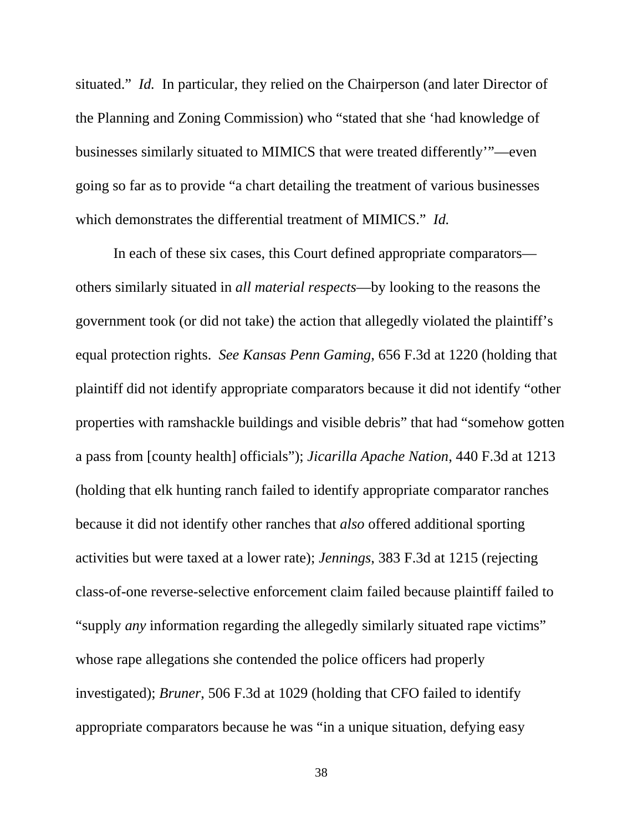situated." *Id.* In particular, they relied on the Chairperson (and later Director of the Planning and Zoning Commission) who "stated that she 'had knowledge of businesses similarly situated to MIMICS that were treated differently'"—even going so far as to provide "a chart detailing the treatment of various businesses which demonstrates the differential treatment of MIMICS." *Id.*

In each of these six cases, this Court defined appropriate comparators others similarly situated in *all material respects*—by looking to the reasons the government took (or did not take) the action that allegedly violated the plaintiff's equal protection rights. *See Kansas Penn Gaming*, 656 F.3d at 1220 (holding that plaintiff did not identify appropriate comparators because it did not identify "other properties with ramshackle buildings and visible debris" that had "somehow gotten a pass from [county health] officials"); *Jicarilla Apache Nation*, 440 F.3d at 1213 (holding that elk hunting ranch failed to identify appropriate comparator ranches because it did not identify other ranches that *also* offered additional sporting activities but were taxed at a lower rate); *Jennings*, 383 F.3d at 1215 (rejecting class-of-one reverse-selective enforcement claim failed because plaintiff failed to "supply *any* information regarding the allegedly similarly situated rape victims" whose rape allegations she contended the police officers had properly investigated); *Bruner*, 506 F.3d at 1029 (holding that CFO failed to identify appropriate comparators because he was "in a unique situation, defying easy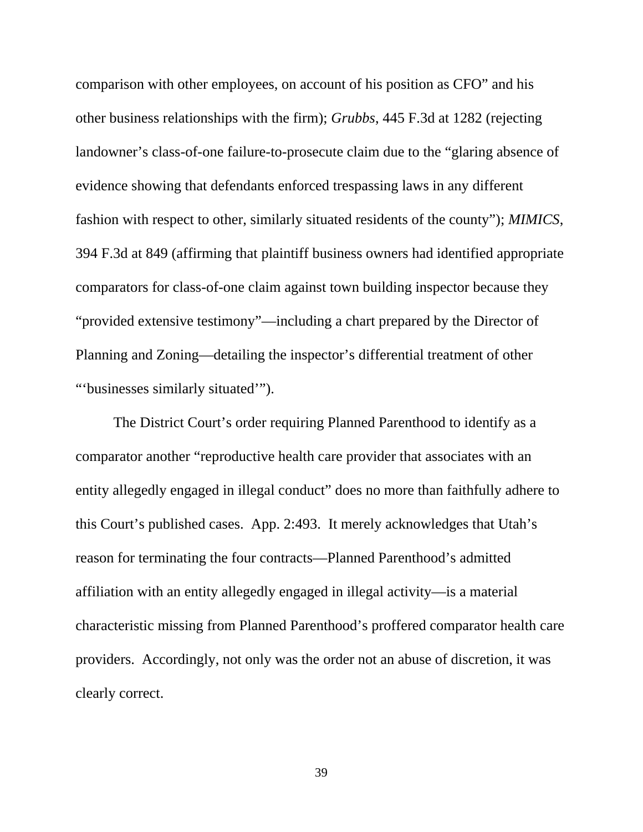comparison with other employees, on account of his position as CFO" and his other business relationships with the firm); *Grubbs*, 445 F.3d at 1282 (rejecting landowner's class-of-one failure-to-prosecute claim due to the "glaring absence of evidence showing that defendants enforced trespassing laws in any different fashion with respect to other, similarly situated residents of the county"); *MIMICS*, 394 F.3d at 849 (affirming that plaintiff business owners had identified appropriate comparators for class-of-one claim against town building inspector because they "provided extensive testimony"—including a chart prepared by the Director of Planning and Zoning—detailing the inspector's differential treatment of other "'businesses similarly situated'").

The District Court's order requiring Planned Parenthood to identify as a comparator another "reproductive health care provider that associates with an entity allegedly engaged in illegal conduct" does no more than faithfully adhere to this Court's published cases. App. 2:493. It merely acknowledges that Utah's reason for terminating the four contracts—Planned Parenthood's admitted affiliation with an entity allegedly engaged in illegal activity—is a material characteristic missing from Planned Parenthood's proffered comparator health care providers. Accordingly, not only was the order not an abuse of discretion, it was clearly correct.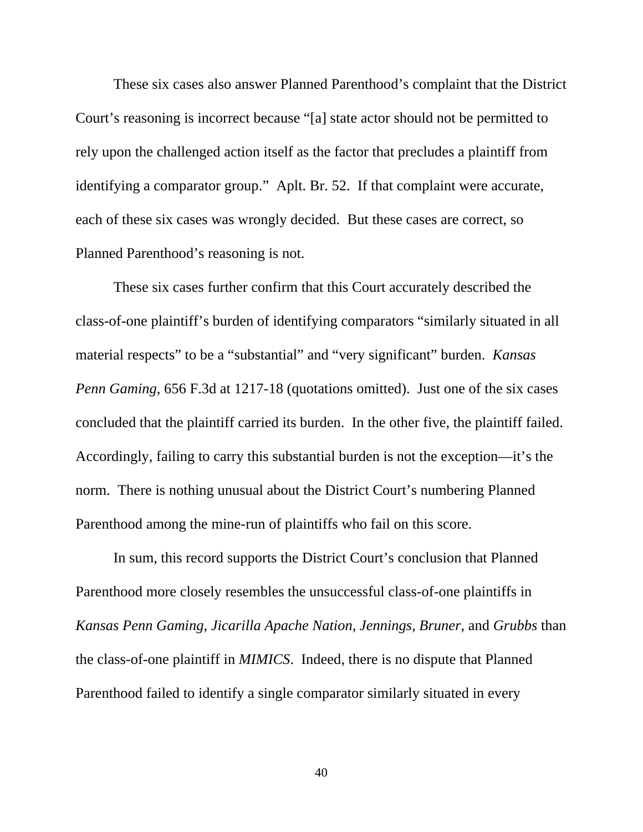These six cases also answer Planned Parenthood's complaint that the District Court's reasoning is incorrect because "[a] state actor should not be permitted to rely upon the challenged action itself as the factor that precludes a plaintiff from identifying a comparator group." Aplt. Br. 52. If that complaint were accurate, each of these six cases was wrongly decided. But these cases are correct, so Planned Parenthood's reasoning is not.

These six cases further confirm that this Court accurately described the class-of-one plaintiff's burden of identifying comparators "similarly situated in all material respects" to be a "substantial" and "very significant" burden. *Kansas Penn Gaming*, 656 F.3d at 1217-18 (quotations omitted). Just one of the six cases concluded that the plaintiff carried its burden. In the other five, the plaintiff failed. Accordingly, failing to carry this substantial burden is not the exception—it's the norm. There is nothing unusual about the District Court's numbering Planned Parenthood among the mine-run of plaintiffs who fail on this score.

In sum, this record supports the District Court's conclusion that Planned Parenthood more closely resembles the unsuccessful class-of-one plaintiffs in *Kansas Penn Gaming*, *Jicarilla Apache Nation*, *Jennings*, *Bruner*, and *Grubbs* than the class-of-one plaintiff in *MIMICS*. Indeed, there is no dispute that Planned Parenthood failed to identify a single comparator similarly situated in every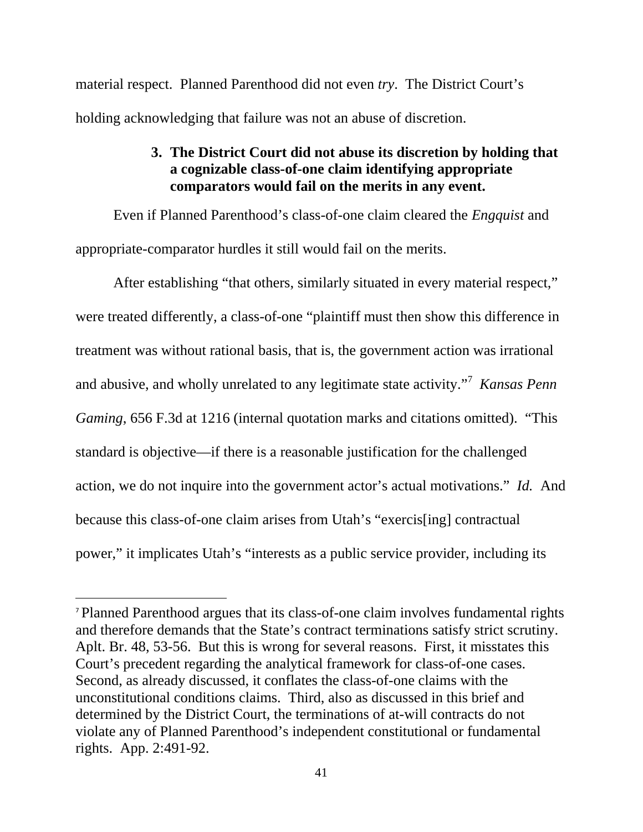material respect. Planned Parenthood did not even *try*. The District Court's holding acknowledging that failure was not an abuse of discretion.

# **3. The District Court did not abuse its discretion by holding that a cognizable class-of-one claim identifying appropriate comparators would fail on the merits in any event.**

Even if Planned Parenthood's class-of-one claim cleared the *Engquist* and appropriate-comparator hurdles it still would fail on the merits.

After establishing "that others, similarly situated in every material respect," were treated differently, a class-of-one "plaintiff must then show this difference in treatment was without rational basis, that is, the government action was irrational and abusive, and wholly unrelated to any legitimate state activity."<sup>7</sup> *Kansas Penn Gaming*, 656 F.3d at 1216 (internal quotation marks and citations omitted). "This standard is objective—if there is a reasonable justification for the challenged action, we do not inquire into the government actor's actual motivations." *Id.* And because this class-of-one claim arises from Utah's "exercis[ing] contractual power," it implicates Utah's "interests as a public service provider, including its

 $\overline{a}$ 

<sup>7</sup> Planned Parenthood argues that its class-of-one claim involves fundamental rights and therefore demands that the State's contract terminations satisfy strict scrutiny. Aplt. Br. 48, 53-56. But this is wrong for several reasons. First, it misstates this Court's precedent regarding the analytical framework for class-of-one cases. Second, as already discussed, it conflates the class-of-one claims with the unconstitutional conditions claims. Third, also as discussed in this brief and determined by the District Court, the terminations of at-will contracts do not violate any of Planned Parenthood's independent constitutional or fundamental rights. App. 2:491-92.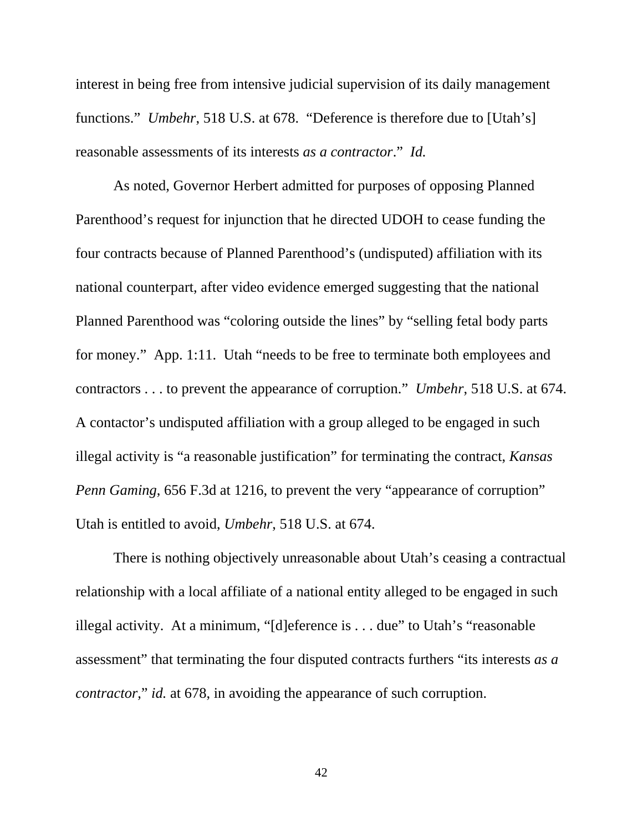interest in being free from intensive judicial supervision of its daily management functions." *Umbehr*, 518 U.S. at 678. "Deference is therefore due to [Utah's] reasonable assessments of its interests *as a contractor*." *Id.*

As noted, Governor Herbert admitted for purposes of opposing Planned Parenthood's request for injunction that he directed UDOH to cease funding the four contracts because of Planned Parenthood's (undisputed) affiliation with its national counterpart, after video evidence emerged suggesting that the national Planned Parenthood was "coloring outside the lines" by "selling fetal body parts for money." App. 1:11. Utah "needs to be free to terminate both employees and contractors . . . to prevent the appearance of corruption." *Umbehr*, 518 U.S. at 674. A contactor's undisputed affiliation with a group alleged to be engaged in such illegal activity is "a reasonable justification" for terminating the contract, *Kansas Penn Gaming*, 656 F.3d at 1216, to prevent the very "appearance of corruption" Utah is entitled to avoid, *Umbehr*, 518 U.S. at 674.

There is nothing objectively unreasonable about Utah's ceasing a contractual relationship with a local affiliate of a national entity alleged to be engaged in such illegal activity. At a minimum, "[d]eference is . . . due" to Utah's "reasonable assessment" that terminating the four disputed contracts furthers "its interests *as a contractor*," *id.* at 678, in avoiding the appearance of such corruption.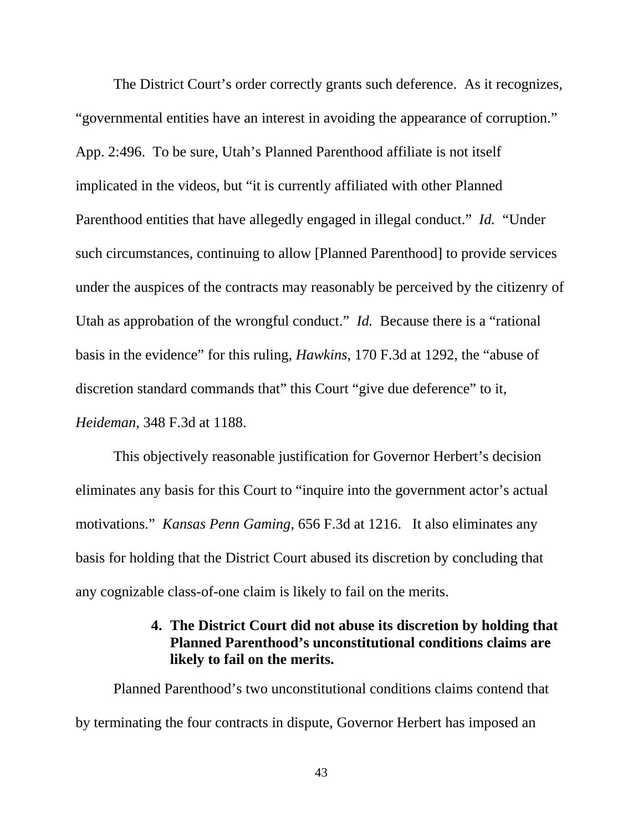The District Court's order correctly grants such deference. As it recognizes, "governmental entities have an interest in avoiding the appearance of corruption." App. 2:496. To be sure, Utah's Planned Parenthood affiliate is not itself implicated in the videos, but "it is currently affiliated with other Planned Parenthood entities that have allegedly engaged in illegal conduct." *Id.* "Under such circumstances, continuing to allow [Planned Parenthood] to provide services under the auspices of the contracts may reasonably be perceived by the citizenry of Utah as approbation of the wrongful conduct." *Id.* Because there is a "rational basis in the evidence" for this ruling, *Hawkins*, 170 F.3d at 1292, the "abuse of discretion standard commands that" this Court "give due deference" to it, *Heideman*, 348 F.3d at 1188.

This objectively reasonable justification for Governor Herbert's decision eliminates any basis for this Court to "inquire into the government actor's actual motivations." *Kansas Penn Gaming*, 656 F.3d at 1216. It also eliminates any basis for holding that the District Court abused its discretion by concluding that any cognizable class-of-one claim is likely to fail on the merits.

# **4. The District Court did not abuse its discretion by holding that Planned Parenthood's unconstitutional conditions claims are likely to fail on the merits.**

Planned Parenthood's two unconstitutional conditions claims contend that by terminating the four contracts in dispute, Governor Herbert has imposed an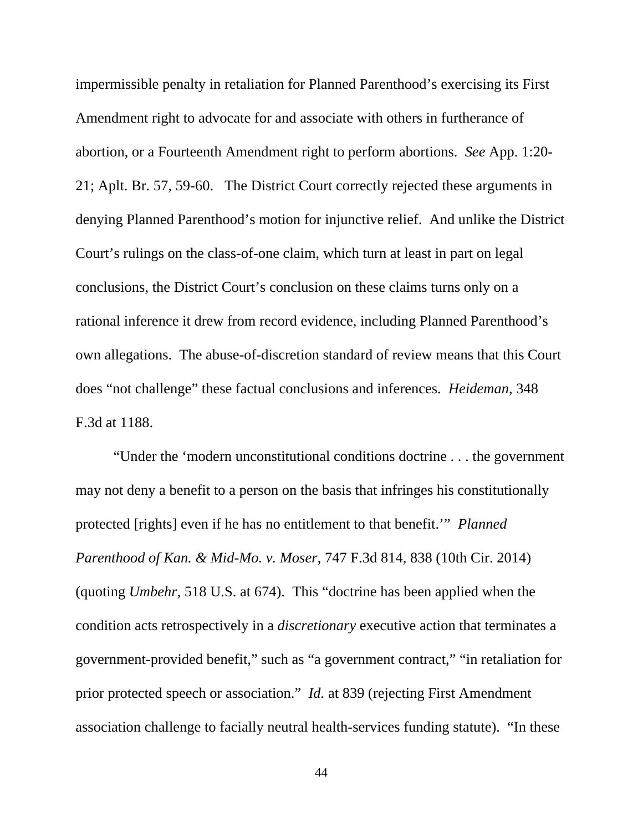impermissible penalty in retaliation for Planned Parenthood's exercising its First Amendment right to advocate for and associate with others in furtherance of abortion, or a Fourteenth Amendment right to perform abortions. *See* App. 1:20- 21; Aplt. Br. 57, 59-60. The District Court correctly rejected these arguments in denying Planned Parenthood's motion for injunctive relief. And unlike the District Court's rulings on the class-of-one claim, which turn at least in part on legal conclusions, the District Court's conclusion on these claims turns only on a rational inference it drew from record evidence, including Planned Parenthood's own allegations. The abuse-of-discretion standard of review means that this Court does "not challenge" these factual conclusions and inferences. *Heideman*, 348 F.3d at 1188.

"Under the 'modern unconstitutional conditions doctrine . . . the government may not deny a benefit to a person on the basis that infringes his constitutionally protected [rights] even if he has no entitlement to that benefit.'" *Planned Parenthood of Kan. & Mid-Mo. v. Moser*, 747 F.3d 814, 838 (10th Cir. 2014) (quoting *Umbehr*, 518 U.S. at 674). This "doctrine has been applied when the condition acts retrospectively in a *discretionary* executive action that terminates a government-provided benefit," such as "a government contract," "in retaliation for prior protected speech or association." *Id.* at 839 (rejecting First Amendment association challenge to facially neutral health-services funding statute). "In these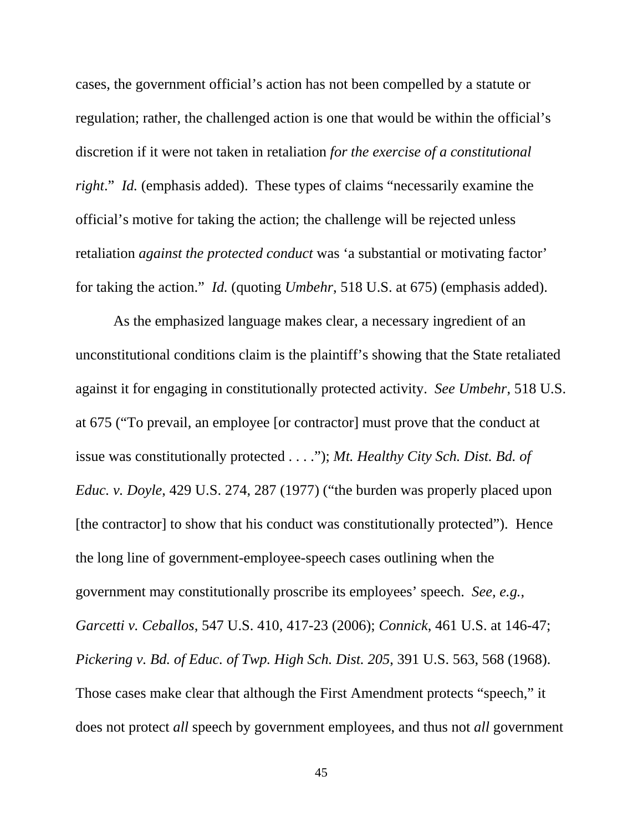cases, the government official's action has not been compelled by a statute or regulation; rather, the challenged action is one that would be within the official's discretion if it were not taken in retaliation *for the exercise of a constitutional right.*" *Id.* (emphasis added). These types of claims "necessarily examine the official's motive for taking the action; the challenge will be rejected unless retaliation *against the protected conduct* was 'a substantial or motivating factor' for taking the action." *Id.* (quoting *Umbehr*, 518 U.S. at 675) (emphasis added).

As the emphasized language makes clear, a necessary ingredient of an unconstitutional conditions claim is the plaintiff's showing that the State retaliated against it for engaging in constitutionally protected activity. *See Umbehr*, 518 U.S. at 675 ("To prevail, an employee [or contractor] must prove that the conduct at issue was constitutionally protected . . . ."); *Mt. Healthy City Sch. Dist. Bd. of Educ. v. Doyle*, 429 U.S. 274, 287 (1977) ("the burden was properly placed upon [the contractor] to show that his conduct was constitutionally protected"). Hence the long line of government-employee-speech cases outlining when the government may constitutionally proscribe its employees' speech. *See, e.g.*, *Garcetti v. Ceballos*, 547 U.S. 410, 417-23 (2006); *Connick*, 461 U.S. at 146-47; *Pickering v. Bd. of Educ. of Twp. High Sch. Dist. 205*, 391 U.S. 563, 568 (1968). Those cases make clear that although the First Amendment protects "speech," it does not protect *all* speech by government employees, and thus not *all* government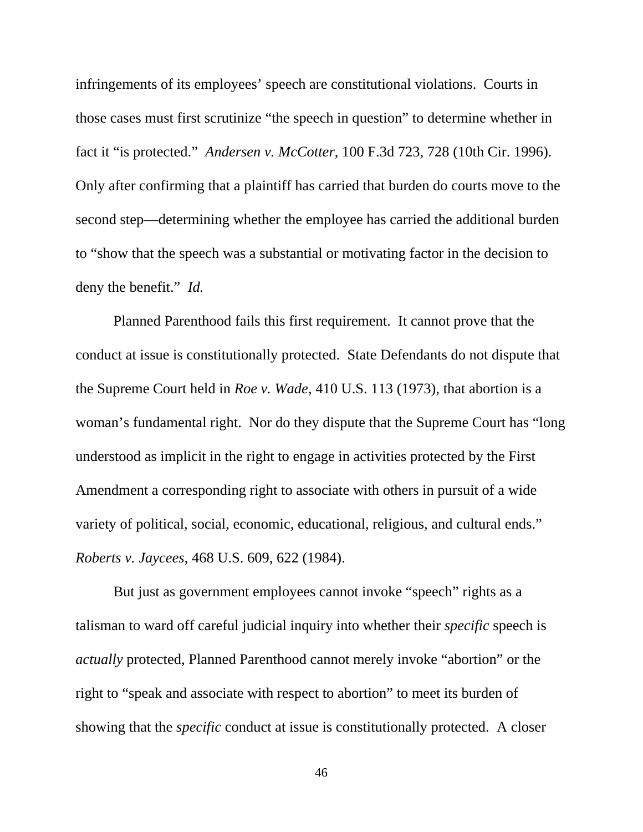infringements of its employees' speech are constitutional violations. Courts in those cases must first scrutinize "the speech in question" to determine whether in fact it "is protected." *Andersen v. McCotter*, 100 F.3d 723, 728 (10th Cir. 1996). Only after confirming that a plaintiff has carried that burden do courts move to the second step—determining whether the employee has carried the additional burden to "show that the speech was a substantial or motivating factor in the decision to deny the benefit." *Id.*

Planned Parenthood fails this first requirement. It cannot prove that the conduct at issue is constitutionally protected. State Defendants do not dispute that the Supreme Court held in *Roe v. Wade*, 410 U.S. 113 (1973), that abortion is a woman's fundamental right. Nor do they dispute that the Supreme Court has "long understood as implicit in the right to engage in activities protected by the First Amendment a corresponding right to associate with others in pursuit of a wide variety of political, social, economic, educational, religious, and cultural ends." *Roberts v. Jaycees*, 468 U.S. 609, 622 (1984).

But just as government employees cannot invoke "speech" rights as a talisman to ward off careful judicial inquiry into whether their *specific* speech is *actually* protected, Planned Parenthood cannot merely invoke "abortion" or the right to "speak and associate with respect to abortion" to meet its burden of showing that the *specific* conduct at issue is constitutionally protected. A closer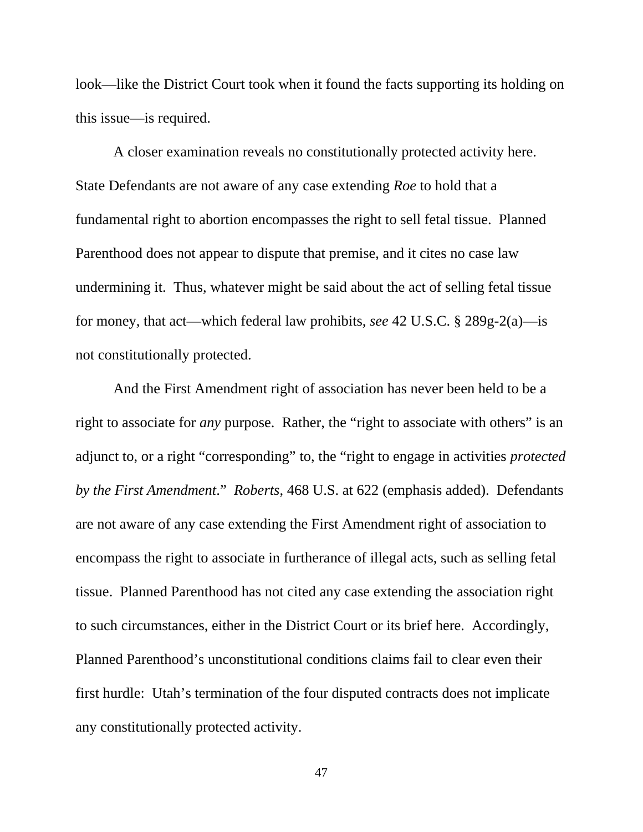look—like the District Court took when it found the facts supporting its holding on this issue—is required.

A closer examination reveals no constitutionally protected activity here. State Defendants are not aware of any case extending *Roe* to hold that a fundamental right to abortion encompasses the right to sell fetal tissue. Planned Parenthood does not appear to dispute that premise, and it cites no case law undermining it. Thus, whatever might be said about the act of selling fetal tissue for money, that act—which federal law prohibits, *see* 42 U.S.C. § 289g-2(a)—is not constitutionally protected.

And the First Amendment right of association has never been held to be a right to associate for *any* purpose. Rather, the "right to associate with others" is an adjunct to, or a right "corresponding" to, the "right to engage in activities *protected by the First Amendment*." *Roberts*, 468 U.S. at 622 (emphasis added). Defendants are not aware of any case extending the First Amendment right of association to encompass the right to associate in furtherance of illegal acts, such as selling fetal tissue. Planned Parenthood has not cited any case extending the association right to such circumstances, either in the District Court or its brief here. Accordingly, Planned Parenthood's unconstitutional conditions claims fail to clear even their first hurdle: Utah's termination of the four disputed contracts does not implicate any constitutionally protected activity.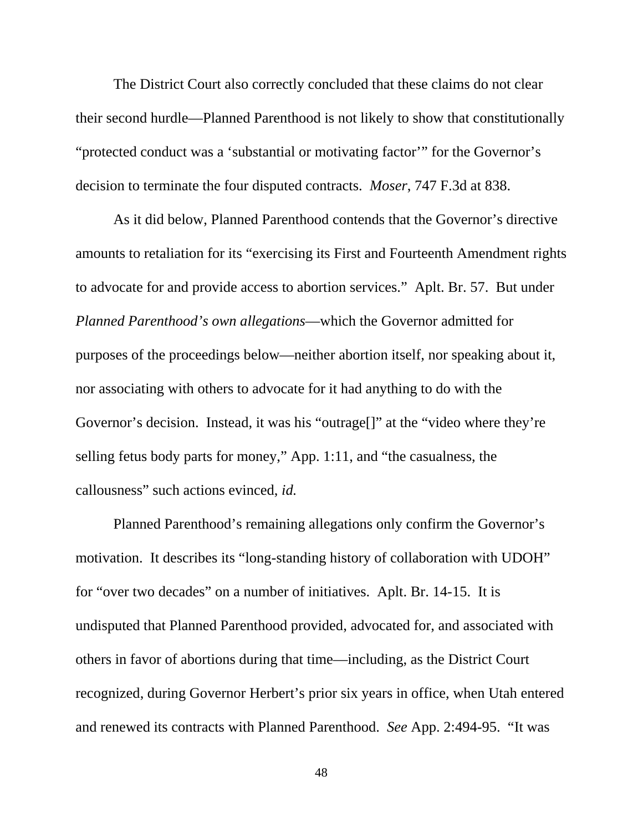The District Court also correctly concluded that these claims do not clear their second hurdle—Planned Parenthood is not likely to show that constitutionally "protected conduct was a 'substantial or motivating factor'" for the Governor's decision to terminate the four disputed contracts. *Moser*, 747 F.3d at 838.

As it did below, Planned Parenthood contends that the Governor's directive amounts to retaliation for its "exercising its First and Fourteenth Amendment rights to advocate for and provide access to abortion services." Aplt. Br. 57. But under *Planned Parenthood's own allegations*—which the Governor admitted for purposes of the proceedings below—neither abortion itself, nor speaking about it, nor associating with others to advocate for it had anything to do with the Governor's decision. Instead, it was his "outrage[]" at the "video where they're selling fetus body parts for money," App. 1:11, and "the casualness, the callousness" such actions evinced, *id.*

Planned Parenthood's remaining allegations only confirm the Governor's motivation. It describes its "long-standing history of collaboration with UDOH" for "over two decades" on a number of initiatives. Aplt. Br. 14-15. It is undisputed that Planned Parenthood provided, advocated for, and associated with others in favor of abortions during that time—including, as the District Court recognized, during Governor Herbert's prior six years in office, when Utah entered and renewed its contracts with Planned Parenthood. *See* App. 2:494-95. "It was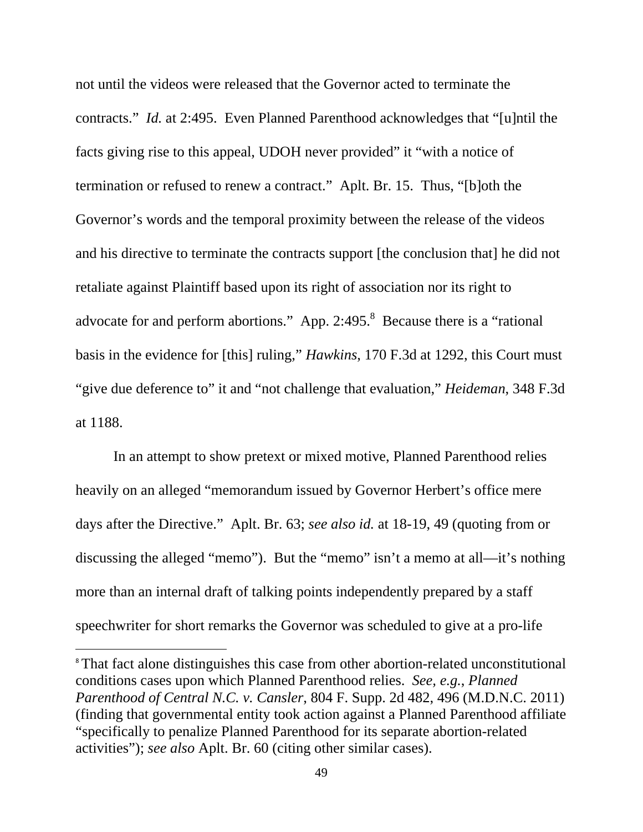not until the videos were released that the Governor acted to terminate the contracts." *Id.* at 2:495. Even Planned Parenthood acknowledges that "[u]ntil the facts giving rise to this appeal, UDOH never provided" it "with a notice of termination or refused to renew a contract." Aplt. Br. 15. Thus, "[b]oth the Governor's words and the temporal proximity between the release of the videos and his directive to terminate the contracts support [the conclusion that] he did not retaliate against Plaintiff based upon its right of association nor its right to advocate for and perform abortions." App. 2:495.<sup>8</sup> Because there is a "rational basis in the evidence for [this] ruling," *Hawkins*, 170 F.3d at 1292, this Court must "give due deference to" it and "not challenge that evaluation," *Heideman*, 348 F.3d at 1188.

In an attempt to show pretext or mixed motive, Planned Parenthood relies heavily on an alleged "memorandum issued by Governor Herbert's office mere days after the Directive." Aplt. Br. 63; *see also id.* at 18-19, 49 (quoting from or discussing the alleged "memo"). But the "memo" isn't a memo at all—it's nothing more than an internal draft of talking points independently prepared by a staff speechwriter for short remarks the Governor was scheduled to give at a pro-life

 $\overline{a}$ 

<sup>&</sup>lt;sup>8</sup> That fact alone distinguishes this case from other abortion-related unconstitutional conditions cases upon which Planned Parenthood relies. *See, e.g.*, *Planned Parenthood of Central N.C. v. Cansler*, 804 F. Supp. 2d 482, 496 (M.D.N.C. 2011) (finding that governmental entity took action against a Planned Parenthood affiliate "specifically to penalize Planned Parenthood for its separate abortion-related activities"); *see also* Aplt. Br. 60 (citing other similar cases).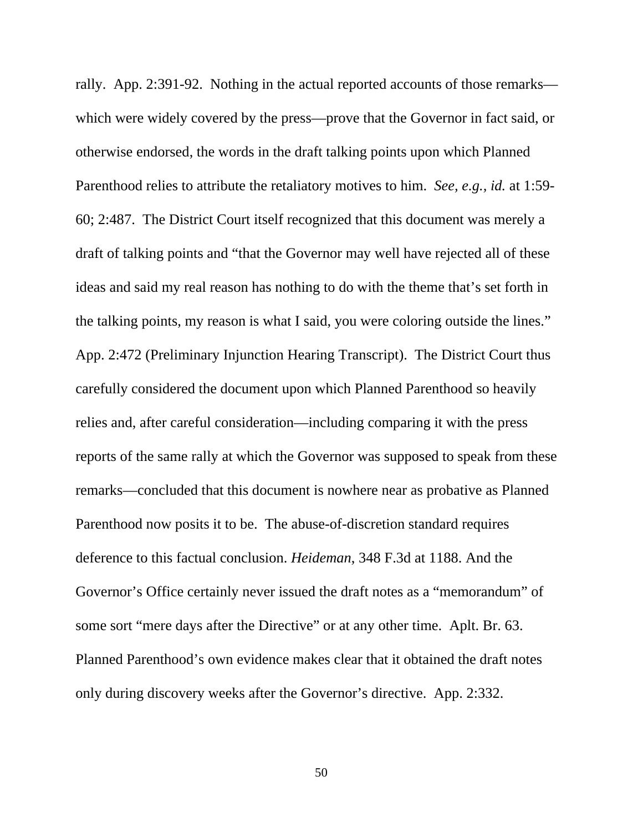rally. App. 2:391-92. Nothing in the actual reported accounts of those remarks which were widely covered by the press—prove that the Governor in fact said, or otherwise endorsed, the words in the draft talking points upon which Planned Parenthood relies to attribute the retaliatory motives to him. *See, e.g., id.* at 1:59- 60; 2:487. The District Court itself recognized that this document was merely a draft of talking points and "that the Governor may well have rejected all of these ideas and said my real reason has nothing to do with the theme that's set forth in the talking points, my reason is what I said, you were coloring outside the lines." App. 2:472 (Preliminary Injunction Hearing Transcript). The District Court thus carefully considered the document upon which Planned Parenthood so heavily relies and, after careful consideration—including comparing it with the press reports of the same rally at which the Governor was supposed to speak from these remarks—concluded that this document is nowhere near as probative as Planned Parenthood now posits it to be. The abuse-of-discretion standard requires deference to this factual conclusion. *Heideman*, 348 F.3d at 1188. And the Governor's Office certainly never issued the draft notes as a "memorandum" of some sort "mere days after the Directive" or at any other time. Aplt. Br. 63. Planned Parenthood's own evidence makes clear that it obtained the draft notes only during discovery weeks after the Governor's directive. App. 2:332.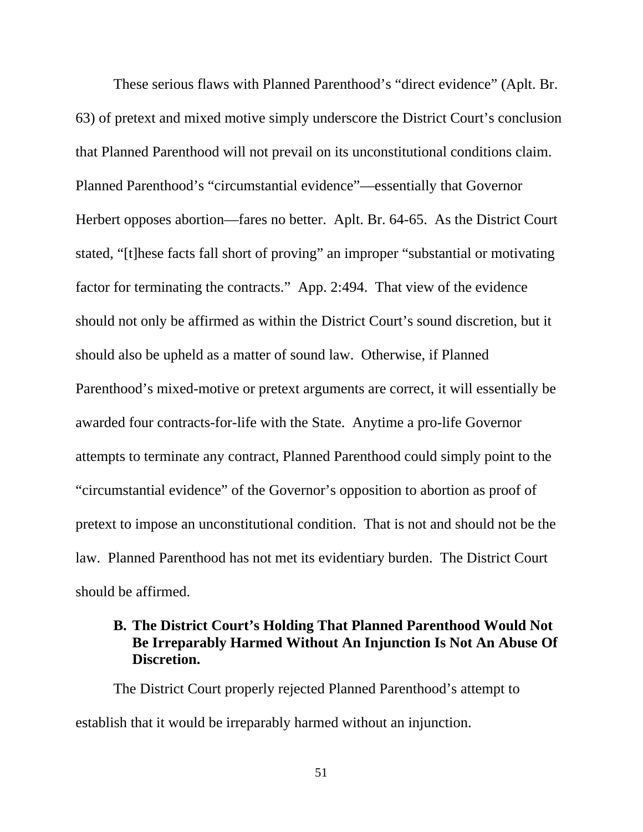These serious flaws with Planned Parenthood's "direct evidence" (Aplt. Br. 63) of pretext and mixed motive simply underscore the District Court's conclusion that Planned Parenthood will not prevail on its unconstitutional conditions claim. Planned Parenthood's "circumstantial evidence"—essentially that Governor Herbert opposes abortion—fares no better. Aplt. Br. 64-65. As the District Court stated, "[t]hese facts fall short of proving" an improper "substantial or motivating factor for terminating the contracts." App. 2:494. That view of the evidence should not only be affirmed as within the District Court's sound discretion, but it should also be upheld as a matter of sound law. Otherwise, if Planned Parenthood's mixed-motive or pretext arguments are correct, it will essentially be awarded four contracts-for-life with the State. Anytime a pro-life Governor attempts to terminate any contract, Planned Parenthood could simply point to the "circumstantial evidence" of the Governor's opposition to abortion as proof of pretext to impose an unconstitutional condition. That is not and should not be the law. Planned Parenthood has not met its evidentiary burden. The District Court should be affirmed.

# **B. The District Court's Holding That Planned Parenthood Would Not Be Irreparably Harmed Without An Injunction Is Not An Abuse Of Discretion.**

The District Court properly rejected Planned Parenthood's attempt to establish that it would be irreparably harmed without an injunction.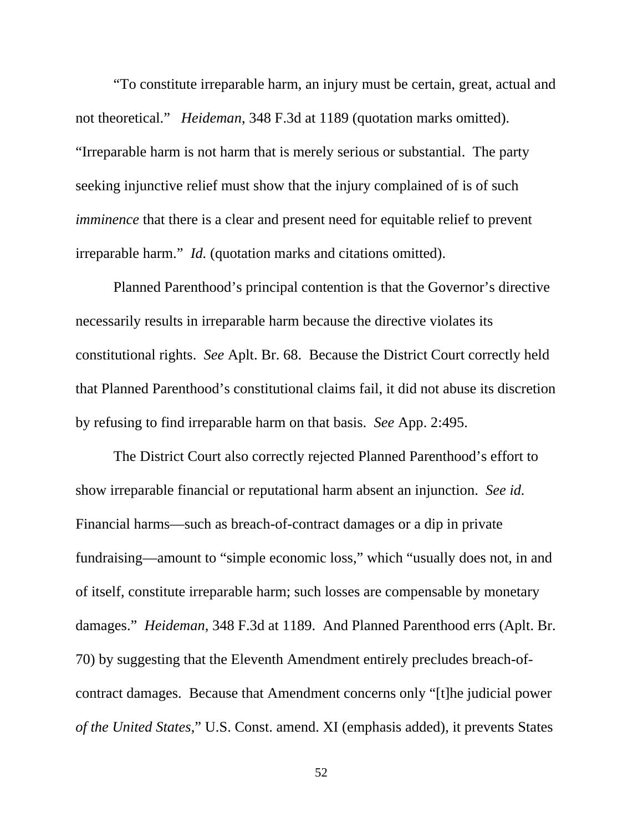"To constitute irreparable harm, an injury must be certain, great, actual and not theoretical." *Heideman*, 348 F.3d at 1189 (quotation marks omitted). "Irreparable harm is not harm that is merely serious or substantial. The party seeking injunctive relief must show that the injury complained of is of such *imminence* that there is a clear and present need for equitable relief to prevent irreparable harm." *Id.* (quotation marks and citations omitted).

Planned Parenthood's principal contention is that the Governor's directive necessarily results in irreparable harm because the directive violates its constitutional rights. *See* Aplt. Br. 68. Because the District Court correctly held that Planned Parenthood's constitutional claims fail, it did not abuse its discretion by refusing to find irreparable harm on that basis. *See* App. 2:495.

The District Court also correctly rejected Planned Parenthood's effort to show irreparable financial or reputational harm absent an injunction. *See id.* Financial harms—such as breach-of-contract damages or a dip in private fundraising—amount to "simple economic loss," which "usually does not, in and of itself, constitute irreparable harm; such losses are compensable by monetary damages." *Heideman*, 348 F.3d at 1189. And Planned Parenthood errs (Aplt. Br. 70) by suggesting that the Eleventh Amendment entirely precludes breach-ofcontract damages. Because that Amendment concerns only "[t]he judicial power *of the United States*," U.S. Const. amend. XI (emphasis added), it prevents States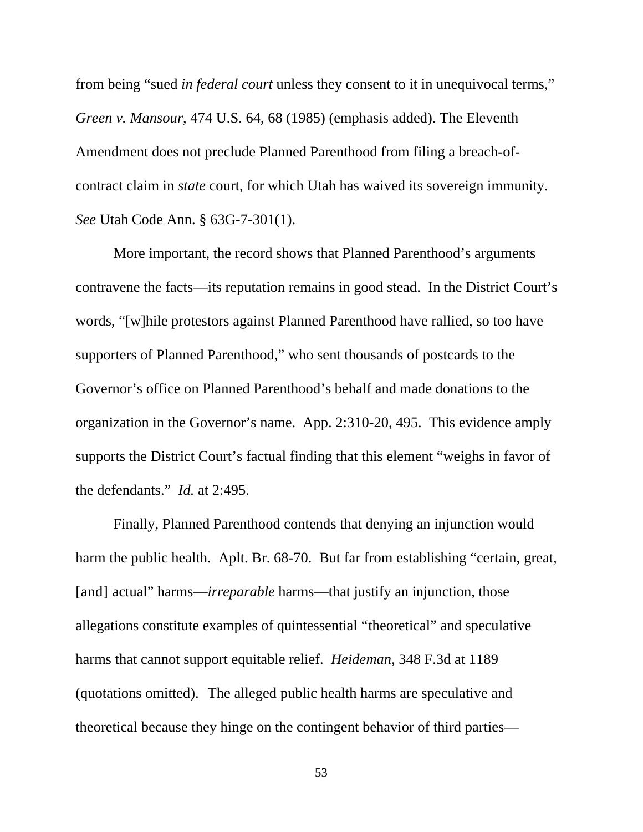from being "sued *in federal court* unless they consent to it in unequivocal terms," *Green v. Mansour*, 474 U.S. 64, 68 (1985) (emphasis added). The Eleventh Amendment does not preclude Planned Parenthood from filing a breach-ofcontract claim in *state* court, for which Utah has waived its sovereign immunity. *See* Utah Code Ann. § 63G-7-301(1).

More important, the record shows that Planned Parenthood's arguments contravene the facts—its reputation remains in good stead. In the District Court's words, "[w]hile protestors against Planned Parenthood have rallied, so too have supporters of Planned Parenthood," who sent thousands of postcards to the Governor's office on Planned Parenthood's behalf and made donations to the organization in the Governor's name. App. 2:310-20, 495. This evidence amply supports the District Court's factual finding that this element "weighs in favor of the defendants." *Id.* at 2:495.

Finally, Planned Parenthood contends that denying an injunction would harm the public health. Aplt. Br. 68-70. But far from establishing "certain, great, [and] actual" harms—*irreparable* harms—that justify an injunction, those allegations constitute examples of quintessential "theoretical" and speculative harms that cannot support equitable relief. *Heideman*, 348 F.3d at 1189 (quotations omitted). The alleged public health harms are speculative and theoretical because they hinge on the contingent behavior of third parties—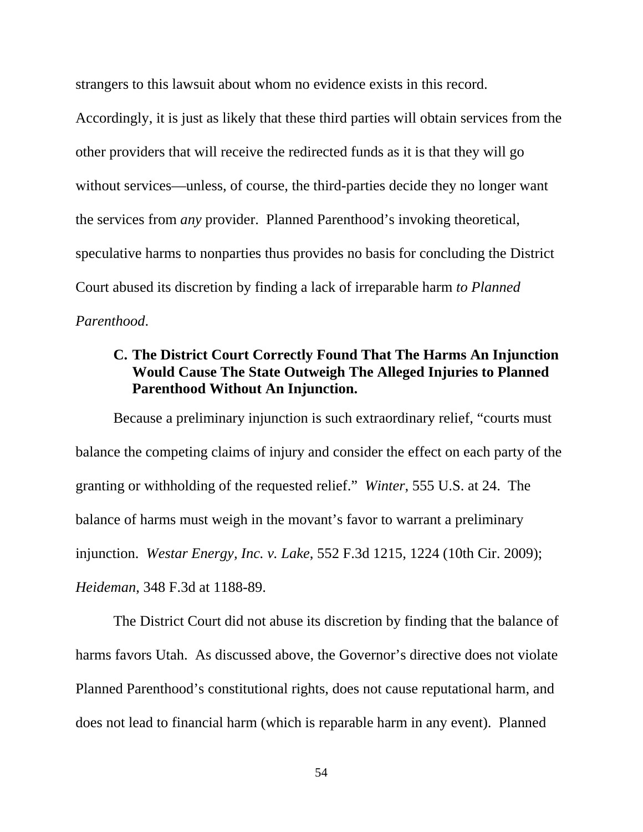strangers to this lawsuit about whom no evidence exists in this record.

Accordingly, it is just as likely that these third parties will obtain services from the other providers that will receive the redirected funds as it is that they will go without services—unless, of course, the third-parties decide they no longer want the services from *any* provider. Planned Parenthood's invoking theoretical, speculative harms to nonparties thus provides no basis for concluding the District Court abused its discretion by finding a lack of irreparable harm *to Planned Parenthood*.

# **C. The District Court Correctly Found That The Harms An Injunction Would Cause The State Outweigh The Alleged Injuries to Planned Parenthood Without An Injunction.**

Because a preliminary injunction is such extraordinary relief, "courts must balance the competing claims of injury and consider the effect on each party of the granting or withholding of the requested relief." *Winter*, 555 U.S. at 24. The balance of harms must weigh in the movant's favor to warrant a preliminary injunction. *Westar Energy, Inc. v. Lake*, 552 F.3d 1215, 1224 (10th Cir. 2009); *Heideman*, 348 F.3d at 1188-89.

The District Court did not abuse its discretion by finding that the balance of harms favors Utah. As discussed above, the Governor's directive does not violate Planned Parenthood's constitutional rights, does not cause reputational harm, and does not lead to financial harm (which is reparable harm in any event). Planned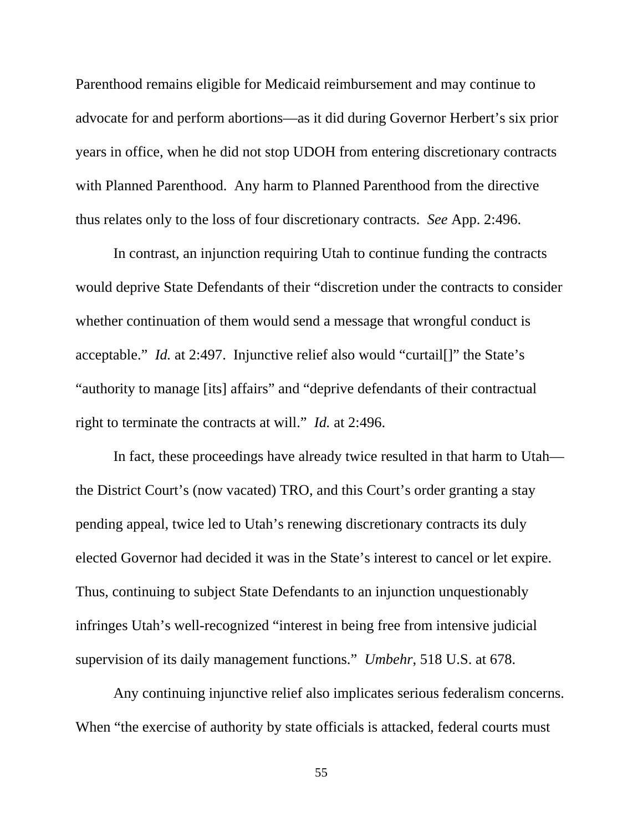Parenthood remains eligible for Medicaid reimbursement and may continue to advocate for and perform abortions—as it did during Governor Herbert's six prior years in office, when he did not stop UDOH from entering discretionary contracts with Planned Parenthood. Any harm to Planned Parenthood from the directive thus relates only to the loss of four discretionary contracts. *See* App. 2:496.

In contrast, an injunction requiring Utah to continue funding the contracts would deprive State Defendants of their "discretion under the contracts to consider whether continuation of them would send a message that wrongful conduct is acceptable." *Id.* at 2:497. Injunctive relief also would "curtail[]" the State's "authority to manage [its] affairs" and "deprive defendants of their contractual right to terminate the contracts at will." *Id.* at 2:496.

In fact, these proceedings have already twice resulted in that harm to Utah the District Court's (now vacated) TRO, and this Court's order granting a stay pending appeal, twice led to Utah's renewing discretionary contracts its duly elected Governor had decided it was in the State's interest to cancel or let expire. Thus, continuing to subject State Defendants to an injunction unquestionably infringes Utah's well-recognized "interest in being free from intensive judicial supervision of its daily management functions." *Umbehr*, 518 U.S. at 678.

Any continuing injunctive relief also implicates serious federalism concerns. When "the exercise of authority by state officials is attacked, federal courts must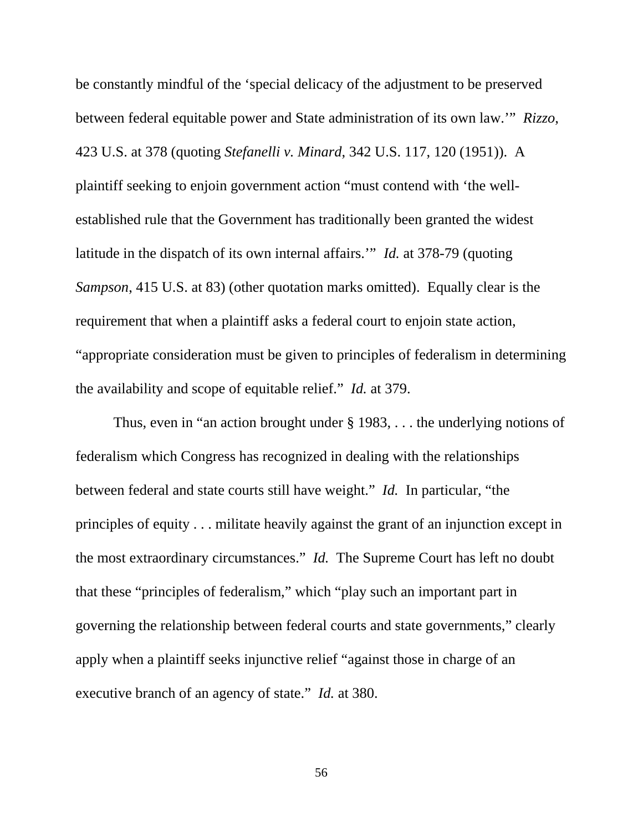be constantly mindful of the 'special delicacy of the adjustment to be preserved between federal equitable power and State administration of its own law.'" *Rizzo*, 423 U.S. at 378 (quoting *Stefanelli v. Minard*, 342 U.S. 117, 120 (1951)). A plaintiff seeking to enjoin government action "must contend with 'the wellestablished rule that the Government has traditionally been granted the widest latitude in the dispatch of its own internal affairs.'" *Id.* at 378-79 (quoting *Sampson*, 415 U.S. at 83) (other quotation marks omitted). Equally clear is the requirement that when a plaintiff asks a federal court to enjoin state action, "appropriate consideration must be given to principles of federalism in determining the availability and scope of equitable relief." *Id.* at 379.

Thus, even in "an action brought under § 1983, . . . the underlying notions of federalism which Congress has recognized in dealing with the relationships between federal and state courts still have weight." *Id.* In particular, "the principles of equity . . . militate heavily against the grant of an injunction except in the most extraordinary circumstances." *Id.* The Supreme Court has left no doubt that these "principles of federalism," which "play such an important part in governing the relationship between federal courts and state governments," clearly apply when a plaintiff seeks injunctive relief "against those in charge of an executive branch of an agency of state." *Id.* at 380.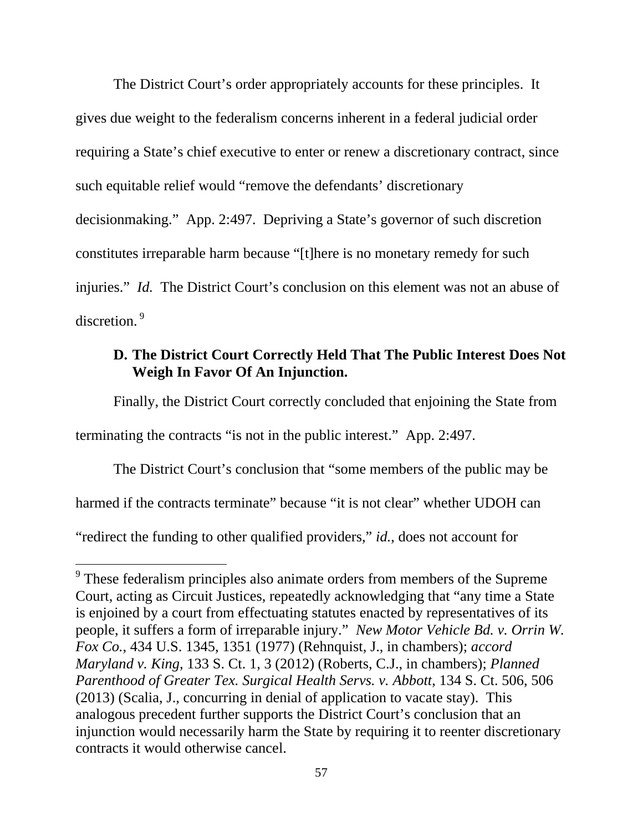The District Court's order appropriately accounts for these principles. It gives due weight to the federalism concerns inherent in a federal judicial order requiring a State's chief executive to enter or renew a discretionary contract, since such equitable relief would "remove the defendants' discretionary decisionmaking." App. 2:497. Depriving a State's governor of such discretion constitutes irreparable harm because "[t]here is no monetary remedy for such injuries." *Id.* The District Court's conclusion on this element was not an abuse of discretion.<sup>9</sup>

# **D. The District Court Correctly Held That The Public Interest Does Not Weigh In Favor Of An Injunction.**

Finally, the District Court correctly concluded that enjoining the State from

terminating the contracts "is not in the public interest." App. 2:497.

 $\overline{a}$ 

The District Court's conclusion that "some members of the public may be harmed if the contracts terminate" because "it is not clear" whether UDOH can "redirect the funding to other qualified providers," *id.*, does not account for

<sup>&</sup>lt;sup>9</sup> These federalism principles also animate orders from members of the Supreme Court, acting as Circuit Justices, repeatedly acknowledging that "any time a State is enjoined by a court from effectuating statutes enacted by representatives of its people, it suffers a form of irreparable injury." *New Motor Vehicle Bd. v. Orrin W. Fox Co.*, 434 U.S. 1345, 1351 (1977) (Rehnquist, J., in chambers); *accord Maryland v. King*, 133 S. Ct. 1, 3 (2012) (Roberts, C.J., in chambers); *Planned Parenthood of Greater Tex. Surgical Health Servs. v. Abbott*, 134 S. Ct. 506, 506 (2013) (Scalia, J., concurring in denial of application to vacate stay). This analogous precedent further supports the District Court's conclusion that an injunction would necessarily harm the State by requiring it to reenter discretionary contracts it would otherwise cancel.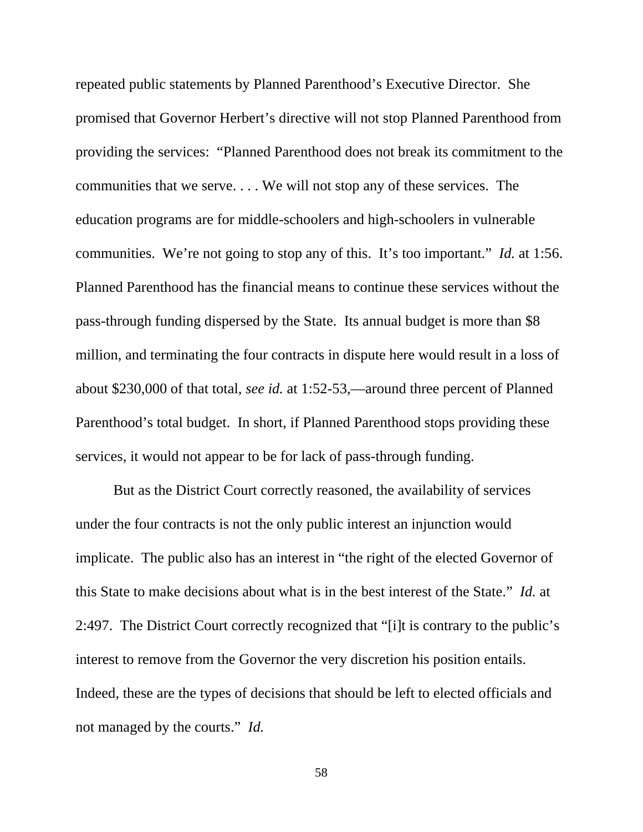repeated public statements by Planned Parenthood's Executive Director. She promised that Governor Herbert's directive will not stop Planned Parenthood from providing the services: "Planned Parenthood does not break its commitment to the communities that we serve. . . . We will not stop any of these services. The education programs are for middle-schoolers and high-schoolers in vulnerable communities. We're not going to stop any of this. It's too important." *Id.* at 1:56. Planned Parenthood has the financial means to continue these services without the pass-through funding dispersed by the State. Its annual budget is more than \$8 million, and terminating the four contracts in dispute here would result in a loss of about \$230,000 of that total, *see id.* at 1:52-53,—around three percent of Planned Parenthood's total budget. In short, if Planned Parenthood stops providing these services, it would not appear to be for lack of pass-through funding.

 But as the District Court correctly reasoned, the availability of services under the four contracts is not the only public interest an injunction would implicate. The public also has an interest in "the right of the elected Governor of this State to make decisions about what is in the best interest of the State." *Id.* at 2:497. The District Court correctly recognized that "[i]t is contrary to the public's interest to remove from the Governor the very discretion his position entails. Indeed, these are the types of decisions that should be left to elected officials and not managed by the courts." *Id.*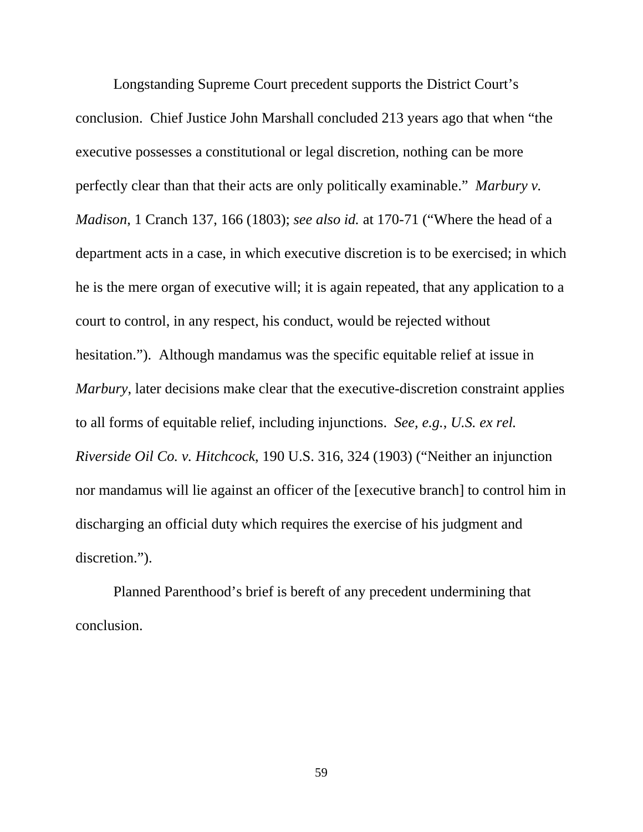Longstanding Supreme Court precedent supports the District Court's conclusion. Chief Justice John Marshall concluded 213 years ago that when "the executive possesses a constitutional or legal discretion, nothing can be more perfectly clear than that their acts are only politically examinable." *Marbury v. Madison*, 1 Cranch 137, 166 (1803); *see also id.* at 170-71 ("Where the head of a department acts in a case, in which executive discretion is to be exercised; in which he is the mere organ of executive will; it is again repeated, that any application to a court to control, in any respect, his conduct, would be rejected without hesitation."). Although mandamus was the specific equitable relief at issue in *Marbury*, later decisions make clear that the executive-discretion constraint applies to all forms of equitable relief, including injunctions. *See, e.g.*, *U.S. ex rel. Riverside Oil Co. v. Hitchcock*, 190 U.S. 316, 324 (1903) ("Neither an injunction nor mandamus will lie against an officer of the [executive branch] to control him in discharging an official duty which requires the exercise of his judgment and discretion.").

Planned Parenthood's brief is bereft of any precedent undermining that conclusion.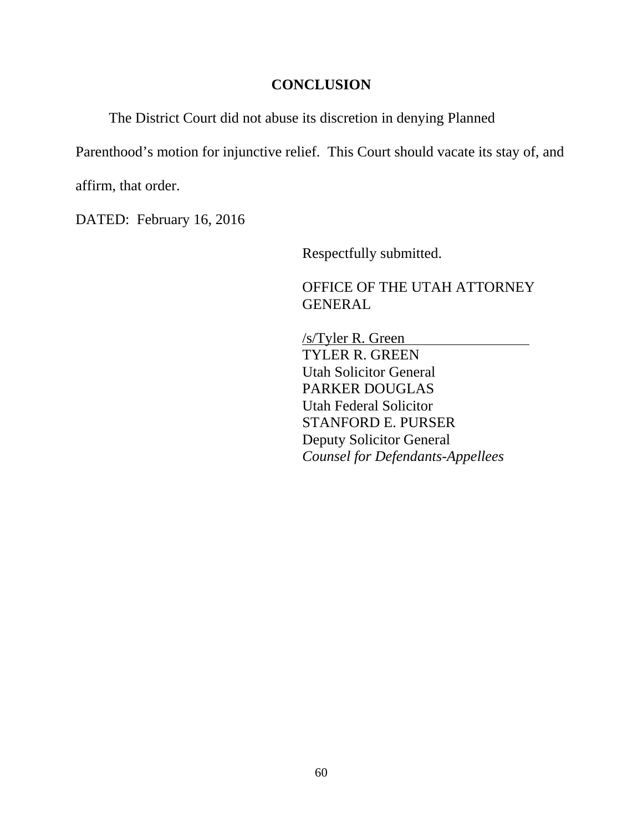# **CONCLUSION**

The District Court did not abuse its discretion in denying Planned

Parenthood's motion for injunctive relief. This Court should vacate its stay of, and

affirm, that order.

DATED: February 16, 2016

Respectfully submitted.

 OFFICE OF THE UTAH ATTORNEY GENERAL

 /s/Tyler R. Green TYLER R. GREEN Utah Solicitor General PARKER DOUGLAS Utah Federal Solicitor STANFORD E. PURSER Deputy Solicitor General *Counsel for Defendants-Appellees*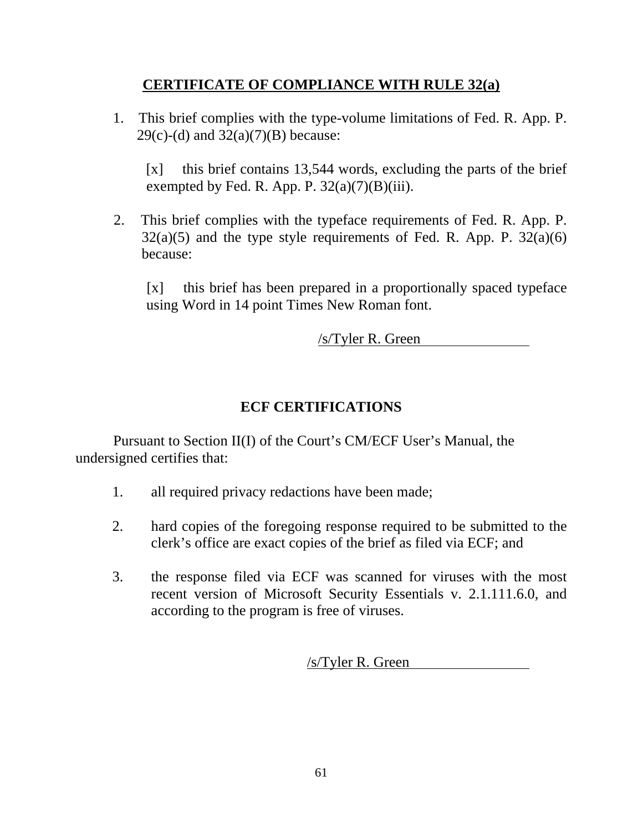# **CERTIFICATE OF COMPLIANCE WITH RULE 32(a)**

 1. This brief complies with the type-volume limitations of Fed. R. App. P.  $29(c)-(d)$  and  $32(a)(7)(B)$  because:

 [x] this brief contains 13,544 words, excluding the parts of the brief exempted by Fed. R. App. P.  $32(a)(7)(B)(iii)$ .

 2. This brief complies with the typeface requirements of Fed. R. App. P.  $32(a)(5)$  and the type style requirements of Fed. R. App. P.  $32(a)(6)$ because:

 [x] this brief has been prepared in a proportionally spaced typeface using Word in 14 point Times New Roman font.

/s/Tyler R. Green

# **ECF CERTIFICATIONS**

 Pursuant to Section II(I) of the Court's CM/ECF User's Manual, the undersigned certifies that:

- 1. all required privacy redactions have been made;
- 2. hard copies of the foregoing response required to be submitted to the clerk's office are exact copies of the brief as filed via ECF; and
- 3. the response filed via ECF was scanned for viruses with the most recent version of Microsoft Security Essentials v. 2.1.111.6.0, and according to the program is free of viruses.

/s/Tyler R. Green